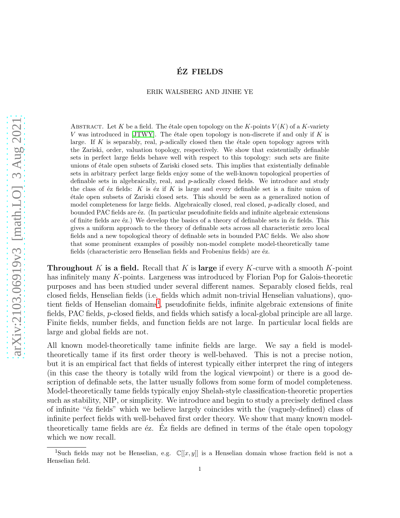# EZ FIELDS ´

#### ERIK WALSBERG AND JINHE YE

ABSTRACT. Let K be a field. The étale open topology on the K-points  $V(K)$  of a K-variety V was introduced in  $JTWY$ . The étale open topology is non-discrete if and only if K is large. If K is separably, real,  $p$ -adically closed then the étale open topology agrees with the Zariski, order, valuation topology, respectively. We show that existentially definable sets in perfect large fields behave well with respect to this topology: such sets are finite unions of étale open subsets of Zariski closed sets. This implies that existentially definable sets in arbitrary perfect large fields enjoy some of the well-known topological properties of definable sets in algebraically, real, and p-adically closed fields. We introduce and study the class of  $\acute{e}z$  fields: K is  $\acute{e}z$  if K is large and every definable set is a finite union of ´etale open subsets of Zariski closed sets. This should be seen as a generalized notion of model completeness for large fields. Algebraically closed, real closed, p-adically closed, and bounded PAC fields are  $\acute{e}z$ . (In particular pseudofinite fields and infinite algebraic extensions of finite fields are  $\acute{e}z$ .) We develop the basics of a theory of definable sets in  $\acute{e}z$  fields. This gives a uniform approach to the theory of definable sets across all characteristic zero local fields and a new topological theory of definable sets in bounded PAC fields. We also show that some prominent examples of possibly non-model complete model-theoretically tame fields (characteristic zero Henselian fields and Frobenius fields) are éz.

**Throughout** K is a field. Recall that K is large if every K-curve with a smooth K-point has infinitely many K-points. Largeness was introduced by Florian Pop for Galois-theoretic purposes and has been studied under several different names. Separably closed fields, real closed fields, Henselian fields (i.e. fields which admit non-trivial Henselian valuations), quo-tient fields of Henselian domains<sup>[1](#page-0-0)</sup>, pseudofinite fields, infinite algebraic extensions of finite fields, PAC fields, p-closed fields, and fields which satisfy a local-global principle are all large. Finite fields, number fields, and function fields are not large. In particular local fields are large and global fields are not.

All known model-theoretically tame infinite fields are large. We say a field is modeltheoretically tame if its first order theory is well-behaved. This is not a precise notion, but it is an empirical fact that fields of interest typically either interpret the ring of integers (in this case the theory is totally wild from the logical viewpoint) or there is a good description of definable sets, the latter usually follows from some form of model completeness. Model-theoretically tame fields typically enjoy Shelah-style classification-theoretic properties such as stability, NIP, or simplicity. We introduce and begin to study a precisely defined class of infinite " $\acute{\text{e}}$ z fields" which we believe largely coincides with the (vaguely-defined) class of infinite perfect fields with well-behaved first order theory. We show that many known modeltheoretically tame fields are  $\acute{e}z$ . Ez fields are defined in terms of the  $\acute{e}t$ ale open topology which we now recall.

<span id="page-0-0"></span><sup>&</sup>lt;sup>1</sup>Such fields may not be Henselian, e.g.  $\mathbb{C}[[x,y]]$  is a Henselian domain whose fraction field is not a Henselian field.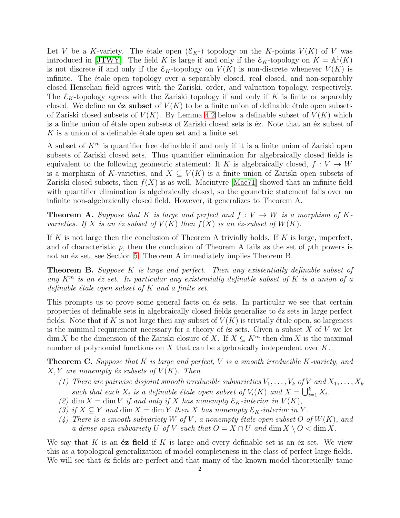Let V be a K-variety. The étale open  $(\mathcal{E}_K)$  topology on the K-points  $V(K)$  of V was introduced in [\[JTWY\]](#page-27-0). The field K is large if and only if the  $\mathcal{E}_K$ -topology on  $K = \mathbb{A}^1(K)$ is not discrete if and only if the  $\mathcal{E}_K$ -topology on  $V(K)$  is non-discrete whenever  $V(K)$  is infinite. The étale open topology over a separably closed, real closed, and non-separably closed Henselian field agrees with the Zariski, order, and valuation topology, respectively. The  $\mathcal{E}_K$ -topology agrees with the Zariski topology if and only if K is finite or separably closed. We define an  $\acute{e}z$  subset of  $V(K)$  to be a finite union of definable étale open subsets of Zariski closed subsets of  $V(K)$ . By Lemma [4.2](#page-15-0) below a definable subset of  $V(K)$  which is a finite union of étale open subsets of Zariski closed sets is  $\acute{e}z$ . Note that an  $\acute{e}z$  subset of  $K$  is a union of a definable étale open set and a finite set.

A subset of  $K^m$  is quantifier free definable if and only if it is a finite union of Zariski open subsets of Zariski closed sets. Thus quantifier elimination for algebraically closed fields is equivalent to the following geometric statement: If K is algebraically closed,  $f: V \to W$ is a morphism of K-varieties, and  $X \subseteq V(K)$  is a finite union of Zariski open subsets of Zariski closed subsets, then  $f(X)$  is as well. Macintyre [\[Mac71\]](#page-27-1) showed that an infinite field with quantifier elimination is algebraically closed, so the geometric statement fails over an infinite non-algebraically closed field. However, it generalizes to Theorem A.

**Theorem A.** Suppose that K is large and perfect and  $f: V \to W$  is a morphism of Kvarieties. If X is an  $\acute{e}z$  subset of  $V(K)$  then  $f(X)$  is an  $\acute{e}z$ -subset of  $W(K)$ .

If K is not large then the conclusion of Theorem A trivially holds. If K is large, imperfect, and of characteristic  $p$ , then the conclusion of Theorem A fails as the set of  $p$ th powers is not an  $\acute{e}z$  set, see Section [5.](#page-16-0) Theorem A immediately implies Theorem B.

**Theorem B.** Suppose K is large and perfect. Then any existentially definable subset of any  $K^m$  is an éz set. In particular any existentially definable subset of K is a union of a definable étale open subset of  $K$  and a finite set.

This prompts us to prove some general facts on  $\acute{e}z$  sets. In particular we see that certain properties of definable sets in algebraically closed fields generalize to  $\acute{e}z$  sets in large perfect fields. Note that if K is not large then any subset of  $V(K)$  is trivially étale open, so largeness is the minimal requirement necessary for a theory of  $\acute{e}z$  sets. Given a subset X of V we let dim X be the dimension of the Zariski closure of X. If  $X \subseteq K^m$  then dim X is the maximal number of polynomial functions on  $X$  that can be algebraically independent over  $K$ .

**Theorem C.** Suppose that K is large and perfect, V is a smooth irreducible K-variety, and  $X, Y$  are nonempty  $\acute{e}z$  subsets of  $V(K)$ . Then

- (1) There are pairwise disjoint smooth irreducible subvarieties  $V_1, \ldots, V_k$  of V and  $X_1, \ldots, X_k$ such that each  $X_i$  is a definable étale open subset of  $V_i(K)$  and  $X = \bigcup_{i=1}^k X_i$ .
- (2) dim  $X = \dim V$  if and only if X has nonempty  $\mathcal{E}_K$ -interior in  $V(K)$ ,
- (3) if  $X \subseteq Y$  and dim  $X = \dim Y$  then X has nonempty  $\mathcal{E}_K$ -interior in Y.
- (4) There is a smooth subvariety W of V, a nonempty étale open subset O of  $W(K)$ , and a dense open subvariety U of V such that  $O = X \cap U$  and  $\dim X \setminus O < \dim X$ .

We say that K is an  $\acute{e}z$  field if K is large and every definable set is an  $\acute{e}z$  set. We view this as a topological generalization of model completeness in the class of perfect large fields. We will see that  $\acute{e}z$  fields are perfect and that many of the known model-theoretically tame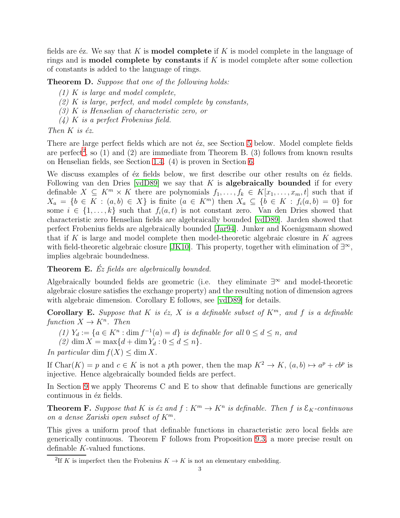fields are  $\epsilon z$ . We say that K is **model complete** if K is model complete in the language of rings and is **model complete by constants** if  $K$  is model complete after some collection of constants is added to the language of rings.

**Theorem D.** Suppose that one of the following holds:

- (1) K is large and model complete,
- $(2)$  K is large, perfect, and model complete by constants,
- (3) K is Henselian of characteristic zero, or
- (4) K is a perfect Frobenius field.

Then  $K$  is  $\acute{e}z$ .

There are large perfect fields which are not  $\acute{e}z$ , see Section [5](#page-16-0) below. Model complete fields are perfect<sup>[2](#page-2-0)</sup>, so  $(1)$  and  $(2)$  are immediate from Theorem B.  $(3)$  follows from known results on Henselian fields, see Section [1.4.](#page-10-0) (4) is proven in Section [6.](#page-18-0)

We discuss examples of  $\acute{e}z$  fields below, we first describe our other results on  $\acute{e}z$  fields. Following van den Dries  $\lceil \text{vdD89} \rceil$  we say that K is **algebraically bounded** if for every definable  $X \subseteq K^m \times K$  there are polynomials  $f_1, \ldots, f_k \in K[x_1, \ldots, x_m, t]$  such that if  $X_a = \{b \in K : (a, b) \in X\}$  is finite  $(a \in K^m)$  then  $X_a \subseteq \{b \in K : f_i(a, b) = 0\}$  for some  $i \in \{1, \ldots, k\}$  such that  $f_i(a, t)$  is not constant zero. Van den Dries showed that characteristic zero Henselian fields are algebraically bounded [\[vdD89\]](#page-27-2). Jarden showed that perfect Frobenius fields are algebraically bounded [\[Jar94\]](#page-27-3). Junker and Koenigsmann showed that if K is large and model complete then model-theoretic algebraic closure in K agrees with field-theoretic algebraic closure [\[JK10\]](#page-27-4). This property, together with elimination of  $\exists^{\infty}$ , implies algebraic boundedness.

**Theorem E.**  $\acute{E}z$  fields are algebraically bounded.

Algebraically bounded fields are geometric (i.e. they eliminate ∃ <sup>∞</sup> and model-theoretic algebraic closure satisfies the exchange property) and the resulting notion of dimension agrees with algebraic dimension. Corollary E follows, see [\[vdD89\]](#page-27-2) for details.

Corollary E. Suppose that K is  $\epsilon z$ , X is a definable subset of  $K^m$ , and f is a definable function  $X \to K^n$ . Then

- (1)  $Y_d := \{a \in K^n : \dim f^{-1}(a) = d\}$  is definable for all  $0 \le d \le n$ , and
- (2) dim  $X = \max\{d + \dim Y_d : 0 \le d \le n\}.$

In particular dim  $f(X) \leq \dim X$ .

If Char $(K) = p$  and  $c \in K$  is not a pth power, then the map  $K^2 \to K$ ,  $(a, b) \mapsto a^p + cb^p$  is injective. Hence algebraically bounded fields are perfect.

In Section [9](#page-24-0) we apply Theorems C and E to show that definable functions are generically continuous in éz fields.

**Theorem F.** Suppose that K is éz and  $f: K^m \to K^n$  is definable. Then f is  $\mathcal{E}_K$ -continuous on a dense Zariski open subset of  $K^m$ .

This gives a uniform proof that definable functions in characteristic zero local fields are generically continuous. Theorem F follows from Proposition [9.3,](#page-24-1) a more precise result on definable K-valued functions.

<span id="page-2-0"></span><sup>&</sup>lt;sup>2</sup>If K is imperfect then the Frobenius  $K \to K$  is not an elementary embedding.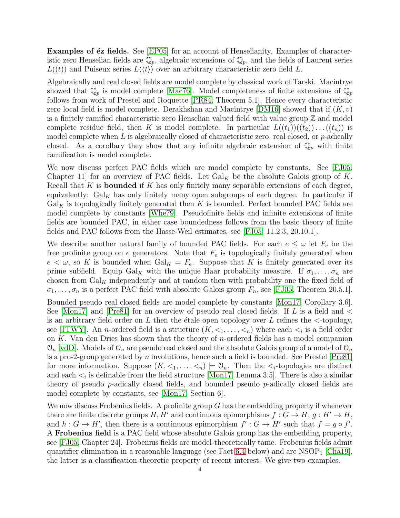Examples of éz fields. See [\[EP05\]](#page-27-5) for an account of Henselianity. Examples of characteristic zero Henselian fields are  $\mathbb{Q}_p$ , algebraic extensions of  $\mathbb{Q}_p$ , and the fields of Laurent series  $L((t))$  and Puiseux series  $L(\langle t \rangle)$  over an arbitrary characteristic zero field L.

Algebraically and real closed fields are model complete by classical work of Tarski. Macintrye showed that  $\mathbb{Q}_p$  is model complete [\[Mac76\]](#page-27-6). Model completeness of finite extensions of  $\mathbb{Q}_p$ follows from work of Prestel and Roquette [\[PR84,](#page-27-7) Theorem 5.1]. Hence every characteristic zero local field is model complete. Derakhshan and Macintrye [\[DM16\]](#page-27-8) showed that if  $(K, v)$ is a finitely ramified characteristic zero Henselian valued field with value group  $\mathbb Z$  and model complete residue field, then K is model complete. In particular  $L((t_1))((t_2))\dots((t_n))$  is model complete when  $L$  is algebraically closed of characteristic zero, real closed, or  $p$ -adically closed. As a corollary they show that any infinite algebraic extension of  $\mathbb{Q}_p$  with finite ramification is model complete.

We now discuss perfect PAC fields which are model complete by constants. See [\[FJ05,](#page-27-9) Chapter 11 for an overview of PAC fields. Let  $Gal_K$  be the absolute Galois group of K. Recall that K is **bounded** if K has only finitely many separable extensions of each degree, equivalently:  $Gal_K$  has only finitely many open subgroups of each degree. In particular if  $Gal<sub>K</sub>$  is topologically finitely generated then K is bounded. Perfect bounded PAC fields are model complete by constants [\[Whe79\]](#page-27-10). Pseudofinite fields and infinite extensions of finite fields are bounded PAC, in either case boundedness follows from the basic theory of finite fields and PAC follows from the Hasse-Weil estimates, see [\[FJ05,](#page-27-9) 11.2.3, 20.10.1].

We describe another natural family of bounded PAC fields. For each  $e \leq \omega$  let  $F_e$  be the free profinite group on e generators. Note that  $F_e$  is topologically finitely generated when  $e < \omega$ , so K is bounded when  $Gal_K = F_e$ . Suppose that K is finitely generated over its prime subfield. Equip Gal<sub>K</sub> with the unique Haar probability measure. If  $\sigma_1, \ldots, \sigma_n$  are chosen from  $Gal_K$  independently and at random then with probability one the fixed field of  $\sigma_1, \ldots, \sigma_n$  is a perfect PAC field with absolute Galois group  $F_n$ , see [\[FJ05,](#page-27-9) Theorem 20.5.1].

Bounded pseudo real closed fields are model complete by constants [\[Mon17,](#page-27-11) Corollary 3.6]. See [\[Mon17\]](#page-27-11) and [\[Pre81\]](#page-27-12) for an overview of pseudo real closed fields. If L is a field and  $\lt$ is an arbitrary field order on L then the étale open topology over L refines the  $\lt$ -topology, see [\[JTWY\]](#page-27-0). An *n*-ordered field is a structure  $(K, \leq_1, \ldots, \leq_n)$  where each  $\leq_i$  is a field order on  $K$ . Van den Dries has shown that the theory of *n*-ordered fields has a model companion  $\mathcal{O}_n$  [\[vdD\]](#page-27-13). Models of  $\mathcal{O}_n$  are pseudo real closed and the absolute Galois group of a model of  $\mathcal{O}_n$ is a pro-2-group generated by  $n$  involutions, hence such a field is bounded. See Prestel [\[Pre81\]](#page-27-12) for more information. Suppose  $(K, \leq_1, \ldots, \leq_n) \models \mathcal{O}_n$ . Then the  $\leq_i$ -topologies are distinct and each  $\lt_i$  is definable from the field structure [\[Mon17,](#page-27-11) Lemma 3.5]. There is also a similar theory of pseudo  $p$ -adically closed fields, and bounded pseudo  $p$ -adically closed fields are model complete by constants, see [\[Mon17,](#page-27-11) Section 6].

We now discuss Frobenius fields. A profinite group  $G$  has the embedding property if whenever there are finite discrete groups H, H' and continuous epimorphisms  $f: G \to H$ ,  $g: H' \to H$ , and  $h: G \to H'$ , then there is a continuous epimorphism  $f': G \to H'$  such that  $f = g \circ f'$ . A Frobenius field is a PAC field whose absolute Galois group has the embedding property, see [\[FJ05,](#page-27-9) Chapter 24]. Frobenius fields are model-theoretically tame. Frobenius fields admit quantifier elimination in a reasonable language (see Fact [6.4](#page-18-1) below) and are  $NSOP<sub>1</sub>$  [\[Cha19\]](#page-26-0), the latter is a classification-theoretic property of recent interest. We give two examples.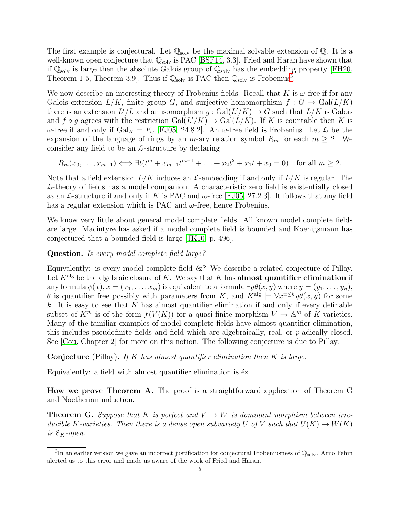The first example is conjectural. Let  $\mathbb{Q}_{\text{solv}}$  be the maximal solvable extension of  $\mathbb{Q}$ . It is a well-known open conjecture that  $\mathbb{Q}_{solv}$  is PAC [\[BSF14,](#page-26-1) 3.3]. Fried and Haran have shown that if  $\mathbb{Q}_{\text{solv}}$  is large then the absolute Galois group of  $\mathbb{Q}_{\text{solv}}$  has the embedding property [\[FH20,](#page-27-14) Theorem 1.5, Theorem [3](#page-4-0).9. Thus if  $\mathbb{Q}_{solv}$  is PAC then  $\mathbb{Q}_{solv}$  is Frobenius<sup>3</sup>.

We now describe an interesting theory of Frobenius fields. Recall that K is  $\omega$ -free if for any Galois extension  $L/K$ , finite group G, and surjective homomorphism  $f: G \to \text{Gal}(L/K)$ there is an extension  $L'/L$  and an isomorphism  $g: Gal(L'/K) \to G$  such that  $L/K$  is Galois and  $f \circ g$  agrees with the restriction  $Gal(L/K) \to Gal(L/K)$ . If K is countable then K is ω-free if and only if  $Gal_K = F_\omega$  [\[FJ05,](#page-27-9) 24.8.2]. An ω-free field is Frobenius. Let  $\mathcal L$  be the expansion of the language of rings by an *m*-ary relation symbol  $R_m$  for each  $m \geq 2$ . We consider any field to be an  $\mathcal{L}\text{-structure}$  by declaring

$$
R_m(x_0, \ldots, x_{m-1}) \iff \exists t (t^m + x_{m-1}t^{m-1} + \ldots + x_2t^2 + x_1t + x_0 = 0) \text{ for all } m \ge 2.
$$

Note that a field extension  $L/K$  induces an  $\mathcal{L}\text{-embedding}$  if and only if  $L/K$  is regular. The  $\mathcal{L}\text{-theory}$  of fields has a model companion. A characteristic zero field is existentially closed as an  $\mathcal{L}\text{-structure}$  if and only if K is PAC and  $\omega$ -free [\[FJ05,](#page-27-9) 27.2.3]. It follows that any field has a regular extension which is PAC and  $\omega$ -free, hence Frobenius.

We know very little about general model complete fields. All known model complete fields are large. Macintyre has asked if a model complete field is bounded and Koenigsmann has conjectured that a bounded field is large [\[JK10,](#page-27-4) p. 496].

# Question. Is every model complete field large?

Equivalently: is every model complete field éz? We describe a related conjecture of Pillay. Let  $K^{\text{alg}}$  be the algebraic closure of K. We say that K has almost quantifier elimination if any formula  $\phi(x), x = (x_1, \ldots, x_m)$  is equivalent to a formula  $\exists y \theta(x, y)$  where  $y = (y_1, \ldots, y_n)$ ,  $\theta$  is quantifier free possibly with parameters from K, and  $K^{\text{alg}} \models \forall x \exists^{\leq k} y \theta(x, y)$  for some k. It is easy to see that K has almost quantifier elimination if and only if every definable subset of  $K^m$  is of the form  $f(V(K))$  for a quasi-finite morphism  $V \to \mathbb{A}^m$  of K-varieties. Many of the familiar examples of model complete fields have almost quantifier elimination, this includes pseudofinite fields and field which are algebraically, real, or p-adically closed. See [\[Cou,](#page-26-2) Chapter 2] for more on this notion. The following conjecture is due to Pillay.

**Conjecture** (Pillay). If K has almost quantifier elimination then K is large.

Equivalently: a field with almost quantifier elimination is  $\acute{e}z$ .

How we prove Theorem A. The proof is a straightforward application of Theorem G and Noetherian induction.

**Theorem G.** Suppose that K is perfect and  $V \rightarrow W$  is dominant morphism between irreducible K-varieties. Then there is a dense open subvariety U of V such that  $U(K) \to W(K)$ is  $\mathcal{E}_K$ -open.

<span id="page-4-0"></span> ${}^{3}$ In an earlier version we gave an incorrect justification for conjectural Frobeniusness of  $\mathbb{Q}_{\rm solv}$ . Arno Fehm alerted us to this error and made us aware of the work of Fried and Haran.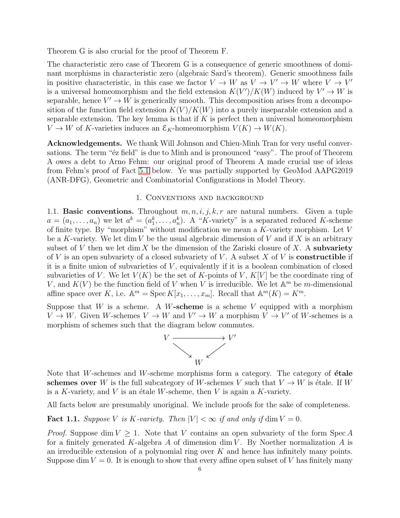Theorem G is also crucial for the proof of Theorem F.

The characteristic zero case of Theorem G is a consequence of generic smoothness of dominant morphisms in characteristic zero (algebraic Sard's theorem). Generic smoothness fails in positive characteristic, in this case we factor  $V \to W$  as  $V \to V' \to W$  where  $V \to V'$ is a universal homeomorphism and the field extension  $K(V')/K(W)$  induced by  $V' \to W$  is separable, hence  $V' \to W$  is generically smooth. This decomposition arises from a decomposition of the function field extension  $K(V)/K(W)$  into a purely inseparable extension and a separable extension. The key lemma is that if  $K$  is perfect then a universal homeomorphism  $V \to W$  of K-varieties induces an  $\mathcal{E}_K$ -homeomorphism  $V(K) \to W(K)$ .

Acknowledgements. We thank Will Johnson and Chieu-Minh Tran for very useful conversations. The term " $\acute{e}z$  field" is due to Minh and is pronounced "easy". The proof of Theorem A owes a debt to Arno Fehm: our original proof of Theorem A made crucial use of ideas from Fehm's proof of Fact [5.1](#page-16-1) below. Ye was partially supported by GeoMod AAPG2019 (ANR-DFG), Geometric and Combinatorial Configurations in Model Theory.

### 1. Conventions and background

1.1. **Basic conventions.** Throughout  $m, n, i, j, k, r$  are natural numbers. Given a tuple  $a = (a_1, \ldots, a_n)$  we let  $a^k = (a_1^k, \ldots, a_n^k)$ . A "K-variety" is a separated reduced K-scheme of finite type. By "morphism" without modification we mean a  $K$ -variety morphism. Let  $V$ be a K-variety. We let dim V be the usual algebraic dimension of V and if X is an arbitrary subset of V then we let dim X be the dimension of the Zariski closure of X. A subvariety of V is an open subvariety of a closed subvariety of V. A subset X of V is **constructible** if it is a finite union of subvarieties of  $V$ , equivalently if it is a boolean combination of closed subvarieties of V. We let  $V(K)$  be the set of K-points of V,  $K[V]$  be the coordinate ring of V, and  $K(V)$  be the function field of V when V is irreducible. We let  $\mathbb{A}^m$  be m-dimensional affine space over K, i.e.  $\mathbb{A}^m = \operatorname{Spec} K[x_1, \ldots, x_m]$ . Recall that  $\mathbb{A}^m(K) = K^m$ .

Suppose that W is a scheme. A W-scheme is a scheme V equipped with a morphism  $V \to W$ . Given W-schemes  $V \to W$  and  $V' \to W$  a morphism  $V \to V'$  of W-schemes is a morphism of schemes such that the diagram below commutes.



Note that W-schemes and W-scheme morphisms form a category. The category of  $\acute{e}t$ ale schemes over W is the full subcategory of W-schemes V such that  $V \to W$  is étale. If W is a K-variety, and V is an étale W-scheme, then V is again a K-variety.

All facts below are presumably unoriginal. We include proofs for the sake of completeness.

<span id="page-5-0"></span>**Fact 1.1.** Suppose V is K-variety. Then  $|V| < \infty$  if and only if dim  $V = 0$ .

*Proof.* Suppose dim  $V > 1$ . Note that V contains an open subvariety of the form Spec A for a finitely generated K-algebra A of dimension dim V. By Noether normalization A is an irreducible extension of a polynomial ring over  $K$  and hence has infinitely many points. Suppose dim  $V = 0$ . It is enough to show that every affine open subset of V has finitely many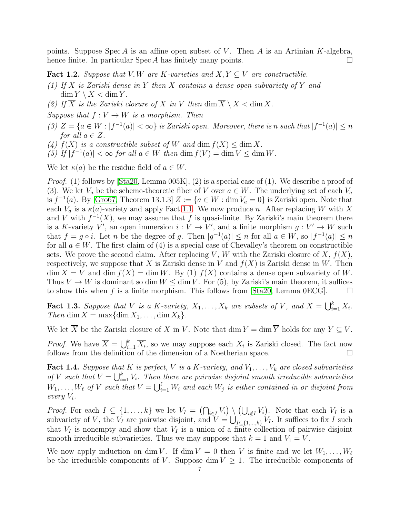points. Suppose Spec A is an affine open subset of V. Then A is an Artinian K-algebra, hence finite. In particular  $Spec A$  has finitely many points.

<span id="page-6-0"></span>**Fact 1.2.** Suppose that V, W are K-varieties and  $X, Y \subseteq V$  are constructible.

- (1) If X is Zariski dense in Y then X contains a dense open subvariety of Y and  $\dim Y \setminus X < \dim Y$ .
- (2) If  $\overline{X}$  is the Zariski closure of X in V then  $\dim \overline{X} \setminus X < \dim X$ .

Suppose that  $f: V \to W$  is a morphism. Then

- (3)  $Z = \{a \in W : |f^{-1}(a)| < \infty\}$  is Zariski open. Moreover, there is n such that  $|f^{-1}(a)| \le n$ for all  $a \in Z$ .
- (4)  $f(X)$  is a constructible subset of W and dim  $f(X) \leq \dim X$ .
- (5) If  $|f^{-1}(a)| < \infty$  for all  $a \in W$  then  $\dim f(V) = \dim V \leq \dim W$ .

We let  $\kappa(a)$  be the residue field of  $a \in W$ .

*Proof.* (1) follows by  $[Sta20, Lemma 005K], (2)$  is a special case of (1). We describe a proof of (3). We let  $V_a$  be the scheme-theoretic fiber of V over  $a \in W$ . The underlying set of each  $V_a$ is  $f^{-1}(a)$ . By [\[Gro67,](#page-27-16) Theorem 13.1.3]  $Z := \{a \in W : \dim V_a = 0\}$  is Zariski open. Note that each  $V_a$  is a  $\kappa(a)$ -variety and apply Fact [1.1.](#page-5-0) We now produce n. After replacing W with X and V with  $f^{-1}(X)$ , we may assume that f is quasi-finite. By Zariski's main theorem there is a K-variety V', an open immersion  $i: V \to V'$ , and a finite morphism  $g: V' \to W$  such that  $f = g \circ i$ . Let n be the degree of g. Then  $|g^{-1}(a)| \le n$  for all  $a \in W$ , so  $|f^{-1}(a)| \le n$ for all  $a \in W$ . The first claim of (4) is a special case of Chevalley's theorem on constructible sets. We prove the second claim. After replacing V, W with the Zariski closure of X,  $f(X)$ , respectively, we suppose that X is Zariski dense in V and  $f(X)$  is Zariski dense in W. Then  $\dim X = V$  and  $\dim f(X) = \dim W$ . By (1)  $f(X)$  contains a dense open subvariety of W. Thus  $V \to W$  is dominant so dim  $W \leq \dim V$ . For (5), by Zariski's main theorem, it suffices to show this when f is a finite morphism. This follows from [\[Sta20,](#page-27-15) Lemma 0ECG].  $\Box$ 

<span id="page-6-2"></span>**Fact 1.3.** Suppose that V is a K-variety,  $X_1, \ldots, X_k$  are subsets of V, and  $X = \bigcup_{i=1}^k X_i$ . Then dim  $X = \max{\dim X_1, \ldots, \dim X_k}.$ 

We let  $\overline{X}$  be the Zariski closure of X in V. Note that dim  $Y = \dim \overline{Y}$  holds for any  $Y \subseteq V$ .

*Proof.* We have  $\overline{X} = \bigcup_{i=1}^{k} \overline{X_i}$ , so we may suppose each  $X_i$  is Zariski closed. The fact now follows from the definition of the dimension of a Noetherian space.

<span id="page-6-1"></span>**Fact 1.4.** Suppose that K is perfect, V is a K-variety, and  $V_1, \ldots, V_k$  are closed subvarieties of V such that  $V = \bigcup_{i=1}^k V_i$ . Then there are pairwise disjoint smooth irreducible subvarieties  $W_1, \ldots, W_\ell$  of V such that  $V = \bigcup_{i=1}^\ell W_i$  and each  $W_j$  is either contained in or disjoint from every V<sup>i</sup> .

*Proof.* For each  $I \subseteq \{1,\ldots,k\}$  we let  $V_I = (\bigcap_{i\in I} V_i) \setminus (\bigcup_{i\notin I} V_i)$ . Note that each  $V_I$  is a subvariety of V, the  $V_I$  are pairwise disjoint, and  $V = \bigcup_{I \subseteq \{1,\ldots,k\}} V_I$ . It suffices to fix I such that  $V_I$  is nonempty and show that  $V_I$  is a union of a finite collection of pairwise disjoint smooth irreducible subvarieties. Thus we may suppose that  $k = 1$  and  $V_1 = V$ .

We now apply induction on dim V. If dim  $V = 0$  then V is finite and we let  $W_1, \ldots, W_\ell$ be the irreducible components of V. Suppose dim  $V \geq 1$ . The irreducible components of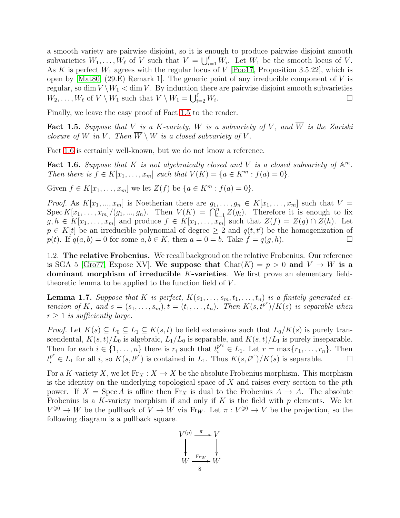a smooth variety are pairwise disjoint, so it is enough to produce pairwise disjoint smooth subvarieties  $W_1, \ldots, W_\ell$  of V such that  $V = \bigcup_{i=1}^\ell W_i$ . Let  $W_1$  be the smooth locus of V. As K is perfect  $W_1$  agrees with the regular locus of V [\[Poo17,](#page-27-17) Proposition 3.5.22], which is open by  $[\text{Mat80}, (29.E)$  Remark 1. The generic point of any irreducible component of V is regular, so dim  $V \setminus W_1 <$  dim V. By induction there are pairwise disjoint smooth subvarieties  $W_2, \ldots, W_\ell$  of  $V \setminus W_1$  such that  $V \setminus W_1 = \bigcup_{i=2}^{\ell} W_i$ . В последните поставите на производите на применение и с поставите на применение и с поставите на применение и<br>В поставите на применение и с поставите на применение и с поставите на применение и с поставите на применение

Finally, we leave the easy proof of Fact [1.5](#page-7-0) to the reader.

<span id="page-7-0"></span>**Fact 1.5.** Suppose that V is a K-variety, W is a subvariety of V, and  $\overline{W}$  is the Zariski closure of W in V. Then  $\overline{W} \setminus W$  is a closed subvariety of V.

Fact [1.6](#page-7-1) is certainly well-known, but we do not know a reference.

<span id="page-7-1"></span>Fact 1.6. Suppose that K is not algebraically closed and V is a closed subvariety of  $\mathbb{A}^m$ . Then there is  $f \in K[x_1, ..., x_m]$  such that  $V(K) = \{a \in K^m : f(a) = 0\}.$ 

Given  $f \in K[x_1, ..., x_m]$  we let  $Z(f)$  be  $\{a \in K^m : f(a) = 0\}.$ 

*Proof.* As  $K[x_1, ..., x_m]$  is Noetherian there are  $g_1, ..., g_n \in K[x_1, ..., x_m]$  such that  $V =$ Spec  $K[x_1, \ldots, x_m]/(g_1, \ldots, g_n)$ . Then  $V(K) = \bigcap_{i=1}^n Z(g_i)$ . Therefore it is enough to fix  $g, h \in K[x_1, \ldots, x_m]$  and produce  $f \in K[x_1, \ldots, x_m]$  such that  $Z(f) = Z(g) \cap Z(h)$ . Let  $p \in K[t]$  be an irreducible polynomial of degree  $\geq 2$  and  $q(t, t')$  be the homogenization of p(t). If  $q(a, b) = 0$  for some  $a, b \in K$ , then  $a = 0 = b$ . Take  $f = q(g, h)$ .

<span id="page-7-3"></span>1.2. The relative Frobenius. We recall backgroud on the relative Frobenius. Our reference is SGA 5 [\[Gro77,](#page-27-19) Expose XV]. We suppose that  $Char(K) = p > 0$  and  $V \rightarrow W$  is a dominant morphism of irreducible K-varieties. We first prove an elementary fieldtheoretic lemma to be applied to the function field of V .

<span id="page-7-2"></span>**Lemma 1.7.** Suppose that K is perfect,  $K(s_1, \ldots, s_m, t_1, \ldots, t_n)$  is a finitely generated extension of K, and  $s = (s_1, \ldots, s_m), t = (t_1, \ldots, t_n)$ . Then  $K(s, t^{p^r})/K(s)$  is separable when  $r \geq 1$  is sufficiently large.

*Proof.* Let  $K(s) \subseteq L_0 \subseteq L_1 \subseteq K(s,t)$  be field extensions such that  $L_0/K(s)$  is purely transcendental,  $K(s,t)/L_0$  is algebraic,  $L_1/L_0$  is separable, and  $K(s,t)/L_1$  is purely inseparable. Then for each  $i \in \{1, \ldots, n\}$  there is  $r_i$  such that  $t_i^{p^{r_i}} \in L_1$ . Let  $r = \max\{r_1, \ldots, r_n\}$ . Then  $t_i^{p^r} \in L_1$  for all i, so  $K(s, t^{p^r})$  is contained in  $L_1$ . Thus  $K(s, t^{p^r})/K(s)$  is separable.

For a K-variety X, we let  $\text{Fr}_X : X \to X$  be the absolute Frobenius morphism. This morphism is the identity on the underlying topological space of  $X$  and raises every section to the  $p$ th power. If  $X = \text{Spec } A$  is affine then  $\text{Fr}_X$  is dual to the Frobenius  $A \to A$ . The absolute Frobenius is a K-variety morphism if and only if K is the field with  $p$  elements. We let  $V^{(p)} \to W$  be the pullback of  $V \to W$  via Fr<sub>W</sub>. Let  $\pi : V^{(p)} \to V$  be the projection, so the following diagram is a pullback square.

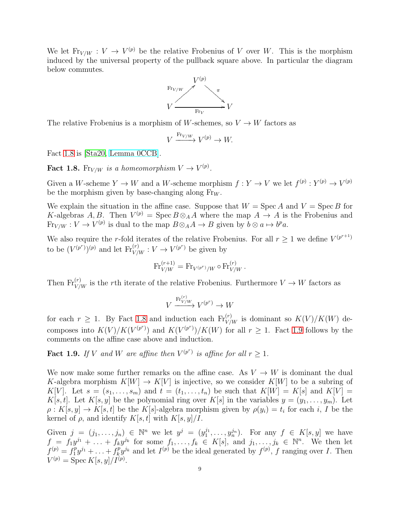We let  $\text{Fr}_{V/W} : V \to V^{(p)}$  be the relative Frobenius of V over W. This is the morphism induced by the universal property of the pullback square above. In particular the diagram below commutes.



The relative Frobenius is a morphism of W-schemes, so  $V \to W$  factors as

$$
V \xrightarrow{\text{Fr}_{V/W}} V^{(p)} \to W.
$$

Fact [1.8](#page-8-0) is [\[Sta20,](#page-27-15) [Lemma 0CCB\]](https://stacks.math.columbia.edu/tag/0CCB).

<span id="page-8-0"></span>**Fact 1.8.** Fr<sub>V/W</sub> is a homeomorphism  $V \to V^{(p)}$ .

Given a W-scheme  $Y \to W$  and a W-scheme morphism  $f: Y \to V$  we let  $f^{(p)}: Y^{(p)} \to V^{(p)}$ be the morphism given by base-changing along  $F_{\text{rw}}$ .

We explain the situation in the affine case. Suppose that  $W = \text{Spec } A$  and  $V = \text{Spec } B$  for K-algebras A, B. Then  $V^{(p)} = \text{Spec } B \otimes_A A$  where the map  $A \to A$  is the Frobenius and  $\text{Fr}_{V/W}: V \to V^{(p)}$  is dual to the map  $B \otimes_A A \to B$  given by  $b \otimes a \mapsto b^p a$ .

We also require the r-fold iterates of the relative Frobenius. For all  $r \geq 1$  we define  $V^{(p^{r+1})}$ to be  $(V^{(p^r)})^{(p)}$  and let  $\mathrm{Fr}_{V/W}^{(r)} : V \to V^{(p^r)}$  be given by

$$
\text{Fr}_{V/W}^{(r+1)} = \text{Fr}_{V^{(p^r)}/W} \circ \text{Fr}_{V/W}^{(r)}.
$$

Then  $\text{Fr}_{V/W}^{(r)}$  is the rth iterate of the relative Frobenius. Furthermore  $V \to W$  factors as

$$
V \xrightarrow{\text{Fr}_{V/W}^{(r)}} V^{(p^r)} \to W
$$

for each  $r \geq 1$ . By Fact [1.8](#page-8-0) and induction each  $Fr_{V/W}^{(r)}$  is dominant so  $K(V)/K(W)$  decomposes into  $K(V)/K(V^{(p^r)})$  and  $K(V^{(p^r)})/K(W)$  for all  $r \geq 1$ . Fact [1.9](#page-8-1) follows by the comments on the affine case above and induction.

<span id="page-8-1"></span>**Fact 1.9.** If V and W are affine then  $V^{(p^r)}$  is affine for all  $r \geq 1$ .

We now make some further remarks on the affine case. As  $V \to W$  is dominant the dual K-algebra morphism  $K[W] \to K[V]$  is injective, so we consider  $K[W]$  to be a subring of K[V]. Let  $s = (s_1, \ldots, s_m)$  and  $t = (t_1, \ldots, t_n)$  be such that  $K[W] = K[s]$  and  $K[V] =$ K[s, t]. Let K[s, y] be the polynomial ring over K[s] in the variables  $y = (y_1, \ldots, y_m)$ . Let  $\rho: K[s, y] \to K[s, t]$  be the K[s]-algebra morphism given by  $\rho(y_i) = t_i$  for each i, I be the kernel of  $\rho$ , and identify  $K[s, t]$  with  $K[s, y]/I$ .

Given  $j = (j_1, \ldots, j_n) \in \mathbb{N}^n$  we let  $y^j = (y_1^{j_1}, \ldots, y_n^{j_n})$ . For any  $f \in K[s, y]$  we have  $f = f_1 y^{j_1} + \ldots + f_k y^{j_k}$  for some  $f_1, \ldots, f_k \in K[s]$ , and  $j_1, \ldots, j_k \in \mathbb{N}^n$ . We then let  $f^{(p)} = f_1^p$  $f_1^p y^{j_1} + \ldots + f_k^p$  $\partial_k^p y^{j_k}$  and let  $I^{(p)}$  be the ideal generated by  $f^{(p)}$ , f ranging over I. Then  $V^{(p)} = \text{Spec } K[s, y]/I^{(p)}.$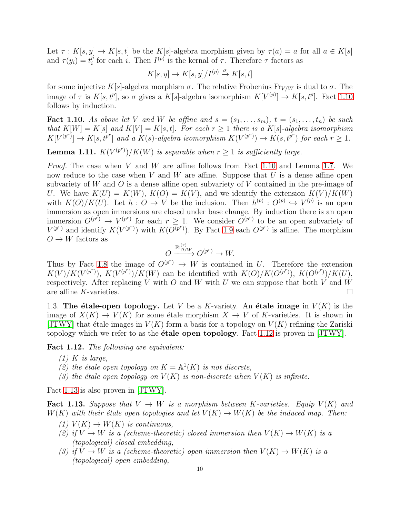Let  $\tau : K[s, y] \to K[s, t]$  be the K[s]-algebra morphism given by  $\tau(a) = a$  for all  $a \in K[s]$ and  $\tau(y_i) = t_i^p$ <sup>*p*</sup> for each *i*. Then  $I^{(p)}$  is the kernal of  $\tau$ . Therefore  $\tau$  factors as

$$
K[s, y] \to K[s, y]/I^{(p)} \stackrel{\sigma}{\to} K[s, t]
$$

for some injective K[s]-algebra morphism  $\sigma$ . The relative Frobenius Fr<sub>V/W</sub> is dual to  $\sigma$ . The image of  $\tau$  is  $K[s, t^p]$ , so  $\sigma$  gives a  $K[s]$ -algebra isomorphism  $K[V^{(p)}] \to K[s, t^p]$ . Fact [1.10](#page-9-0) follows by induction.

<span id="page-9-0"></span>**Fact 1.10.** As above let V and W be affine and  $s = (s_1, \ldots, s_m)$ ,  $t = (s_1, \ldots, t_n)$  be such that  $K[W] = K[s]$  and  $K[V] = K[s, t]$ . For each  $r \geq 1$  there is a  $K[s]$ -algebra isomorphism  $K[V^{(p^r)}] \to K[s, t^{p^r}]$  and a  $K(s)$ -algebra isomorphism  $K(V^{(p^r)}) \to K(s, t^{p^r})$  for each  $r \geq 1$ .

<span id="page-9-3"></span>**Lemma 1.11.**  $K(V^{(p^r)})/K(W)$  is separable when  $r \geq 1$  is sufficiently large.

Proof. The case when V and W are affine follows from Fact [1.10](#page-9-0) and Lemma [1.7.](#page-7-2) We now reduce to the case when V and W are affine. Suppose that U is a dense affine open subvariety of W and O is a dense affine open subvariety of V contained in the pre-image of U. We have  $K(U) = K(W)$ ,  $K(O) = K(V)$ , and we identify the extension  $K(V)/K(W)$ with  $K(O)/K(U)$ . Let  $h: O \to V$  be the inclusion. Then  $h^{(p)}: O^{(p)} \hookrightarrow V^{(p)}$  is an open immersion as open immersions are closed under base change. By induction there is an open immersion  $O^{(p^r)} \to V^{(p^r)}$  for each  $r \geq 1$ . We consider  $O^{(p^r)}$  to be an open subvariety of  $V^{(p^r)}$  and identify  $K(V^{(p^r)})$  with  $K(O^{(p^r)})$ . By Fact [1.9](#page-8-1) each  $O^{(p^r)}$  is affine. The morphism  $O \to W$  factors as

$$
O \xrightarrow{\text{Fr}_{O/W}^{(r)}} O^{(p^r)} \to W.
$$

Thus by Fact [1.8](#page-8-0) the image of  $O^{(p^r)} \to W$  is contained in U. Therefore the extension  $K(V)/K(V^{(p^r)}), K(V^{(p^r)})/K(W)$  can be identified with  $K(O)/K(O^{(p^r)}), K(O^{(p^r)})/K(U),$ respectively. After replacing V with  $O$  and W with U we can suppose that both V and W are affine K-varieties.  $\square$ 

1.3. The étale-open topology. Let V be a K-variety. An étale image in  $V(K)$  is the image of  $X(K) \to V(K)$  for some étale morphism  $X \to V$  of K-varieties. It is shown in [\[JTWY\]](#page-27-0) that étale images in  $V(K)$  form a basis for a topology on  $V(K)$  refining the Zariski topology which we refer to as the **étale open topology**. Fact [1.12](#page-9-1) is proven in  $[JTWY]$ .

<span id="page-9-1"></span>Fact 1.12. The following are equivalent:

- $(1)$  K is large,
- (2) the étale open topology on  $K = \mathbb{A}^1(K)$  is not discrete,
- (3) the étale open topology on  $V(K)$  is non-discrete when  $V(K)$  is infinite.

Fact [1.13](#page-9-2) is also proven in [\[JTWY\]](#page-27-0).

<span id="page-9-2"></span>**Fact 1.13.** Suppose that  $V \to W$  is a morphism between K-varieties. Equip  $V(K)$  and  $W(K)$  with their étale open topologies and let  $V(K) \to W(K)$  be the induced map. Then:

- (1)  $V(K) \rightarrow W(K)$  is continuous,
- (2) if  $V \to W$  is a (scheme-theoretic) closed immersion then  $V(K) \to W(K)$  is a (topological) closed embedding,
- (3) if  $V \to W$  is a (scheme-theoretic) open immersion then  $V(K) \to W(K)$  is a (topological) open embedding,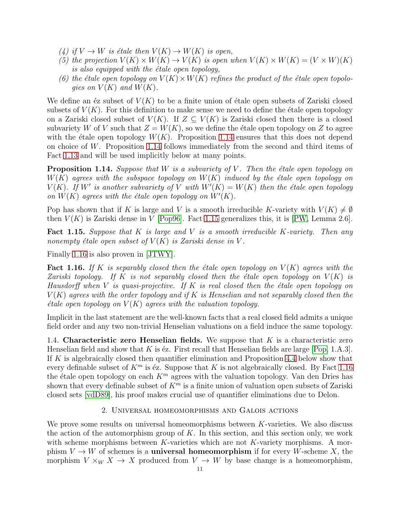- (4) if  $V \to W$  is étale then  $V(K) \to W(K)$  is open,
- (5) the projection  $V(K) \times W(K) \rightarrow V(K)$  is open when  $V(K) \times W(K) = (V \times W)(K)$ is also equipped with the  $\acute{e}t$  ale open topology,
- (6) the étale open topology on  $V(K) \times W(K)$  refines the product of the étale open topologies on  $V(K)$  and  $W(K)$ .

We define an  $\acute{e}z$  subset of  $V(K)$  to be a finite union of  $\acute{e}t$  ale open subsets of Zariski closed subsets of  $V(K)$ . For this definition to make sense we need to define the étale open topology on a Zariski closed subset of  $V(K)$ . If  $Z \subseteq V(K)$  is Zariski closed then there is a closed subvariety W of V such that  $Z = W(K)$ , so we define the étale open topology on Z to agree with the étale open topology  $W(K)$ . Proposition [1.14](#page-10-1) ensures that this does not depend on choice of W. Proposition [1.14](#page-10-1) follows immediately from the second and third items of Fact [1.13](#page-9-2) and will be used implicitly below at many points.

<span id="page-10-1"></span>**Proposition 1.14.** Suppose that  $W$  is a subvariety of  $V$ . Then the étale open topology on  $W(K)$  agrees with the subspace topology on  $W(K)$  induced by the étale open topology on  $V(K)$ . If W' is another subvariety of V with  $W'(K) = W(K)$  then the étale open topology on  $W(K)$  agrees with the étale open topology on  $W'(K)$ .

Pop has shown that if K is large and V is a smooth irreducible K-variety with  $V(K) \neq \emptyset$ then  $V(K)$  is Zariski dense in V [\[Pop96\]](#page-27-20). Fact [1.15](#page-10-2) generalizes this, it is [\[PW,](#page-27-21) Lemma 2.6].

<span id="page-10-2"></span>**Fact 1.15.** Suppose that  $K$  is large and  $V$  is a smooth irreducible  $K$ -variety. Then any nonempty étale open subset of  $V(K)$  is Zariski dense in V.

Finally [1.16](#page-10-3) is also proven in [\[JTWY\]](#page-27-0).

<span id="page-10-3"></span>**Fact 1.16.** If K is separably closed then the étale open topology on  $V(K)$  agrees with the Zariski topology. If K is not separably closed then the étale open topology on  $V(K)$  is Hausdorff when V is quasi-projective. If K is real closed then the étale open topology on  $V(K)$  agrees with the order topology and if K is Henselian and not separably closed then the  $\acute{e}t$ ale open topology on  $V(K)$  agrees with the valuation topology.

Implicit in the last statement are the well-known facts that a real closed field admits a unique field order and any two non-trivial Henselian valuations on a field induce the same topology.

<span id="page-10-0"></span>1.4. Characteristic zero Henselian fields. We suppose that  $K$  is a characteristic zero Henselian field and show that K is  $\acute{e}z$ . First recall that Henselian fields are large [\[Pop,](#page-27-22) 1.A.3]. If K is algebraically closed then quantifier elimination and Proposition [4.4](#page-16-2) below show that every definable subset of  $K<sup>m</sup>$  is éz. Suppose that K is not algebraically closed. By Fact [1.16](#page-10-3) the étale open topology on each  $K<sup>m</sup>$  agrees with the valuation topology. Van den Dries has shown that every definable subset of  $K<sup>m</sup>$  is a finite union of valuation open subsets of Zariski closed sets [\[vdD89\]](#page-27-2), his proof makes crucial use of quantifier eliminations due to Delon.

# 2. Universal homeomorphisms and Galois actions

We prove some results on universal homeomorphisms between  $K$ -varieties. We also discuss the action of the automorphism group of  $K$ . In this section, and this section only, we work with scheme morphisms between  $K$ -varieties which are not  $K$ -variety morphisms. A morphism  $V \to W$  of schemes is a **universal homeomorphism** if for every W-scheme X, the morphism  $V \times_W X \to X$  produced from  $V \to W$  by base change is a homeomorphism,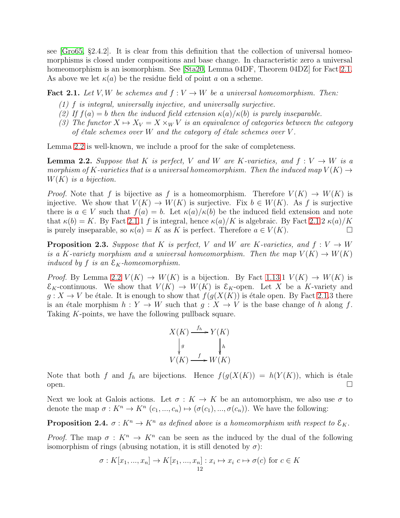see [\[Gro65,](#page-27-23) §2.4.2]. It is clear from this definition that the collection of universal homeomorphisms is closed under compositions and base change. In characteristic zero a universal homeomorphism is an isomorphism. See [\[Sta20,](#page-27-15) Lemma 04DF, Theorem 04DZ] for Fact [2.1.](#page-11-0) As above we let  $\kappa(a)$  be the residue field of point a on a scheme.

<span id="page-11-0"></span>**Fact 2.1.** Let V, W be schemes and  $f: V \to W$  be a universal homeomorphism. Then:

- (1) f is integral, universally injective, and universally surjective.
- (2) If  $f(a) = b$  then the induced field extension  $\kappa(a)/\kappa(b)$  is purely inseparable.
- (3) The functor  $X \mapsto X_V = X \times_W V$  is an equivalence of categories between the category of étale schemes over W and the category of étale schemes over  $V$ .

Lemma [2.2](#page-11-1) is well-known, we include a proof for the sake of completeness.

<span id="page-11-1"></span>**Lemma 2.2.** Suppose that K is perfect, V and W are K-varieties, and  $f: V \to W$  is a morphism of K-varieties that is a universal homeomorphism. Then the induced map  $V(K) \rightarrow$  $W(K)$  is a bijection.

*Proof.* Note that f is bijective as f is a homeomorphism. Therefore  $V(K) \to W(K)$  is injective. We show that  $V(K) \to W(K)$  is surjective. Fix  $b \in W(K)$ . As f is surjective there is  $a \in V$  such that  $f(a) = b$ . Let  $\kappa(a)/\kappa(b)$  be the induced field extension and note that  $\kappa(b) = K$ . By Fact [2.1.](#page-11-0)1 f is integral, hence  $\kappa(a)/K$  is algebraic. By Fact 2.1.2  $\kappa(a)/K$ is purely inseparable, so  $\kappa(a) = K$  as K is perfect. Therefore  $a \in V(K)$ .

<span id="page-11-3"></span>**Proposition 2.3.** Suppose that K is perfect, V and W are K-varieties, and  $f: V \to W$ is a K-variety morphism and a universal homeomorphism. Then the map  $V(K) \to W(K)$ induced by f is an  $\mathcal{E}_K$ -homeomorphism.

*Proof.* By Lemma [2.2](#page-11-1)  $V(K) \rightarrow W(K)$  is a bijection. By Fact [1.13.](#page-9-2)1  $V(K) \rightarrow W(K)$  is  $\mathcal{E}_K$ -continuous. We show that  $V(K) \to W(K)$  is  $\mathcal{E}_K$ -open. Let X be a K-variety and  $g: X \to V$  be étale. It is enough to show that  $f(g(X(K))$  is étale open. By Fact [2.1.](#page-11-0)3 there is an étale morphism  $h : Y \to W$  such that  $g : X \to V$  is the base change of h along f. Taking K-points, we have the following pullback square.

$$
X(K) \xrightarrow{f_h} Y(K)
$$
  
\n
$$
\downarrow g \qquad \qquad \downarrow h
$$
  
\n
$$
V(K) \xrightarrow{f} W(K)
$$

Note that both f and  $f_h$  are bijections. Hence  $f(g(X(K)) = h(Y(K))$ , which is étale open.  $\square$ 

Next we look at Galois actions. Let  $\sigma: K \to K$  be an automorphism, we also use  $\sigma$  to denote the map  $\sigma: K^n \to K^n$   $(c_1, ..., c_n) \mapsto (\sigma(c_1), ..., \sigma(c_n))$ . We have the following:

<span id="page-11-2"></span>**Proposition 2.4.**  $\sigma: K^n \to K^n$  as defined above is a homeomorphism with respect to  $\mathcal{E}_K$ .

Proof. The map  $\sigma: K^n \to K^n$  can be seen as the induced by the dual of the following isomorphism of rings (abusing notation, it is still denoted by  $\sigma$ ):

$$
\sigma: K[x_1, ..., x_n] \to K[x_1, ..., x_n] : x_i \mapsto x_i \ c \mapsto \sigma(c) \text{ for } c \in K
$$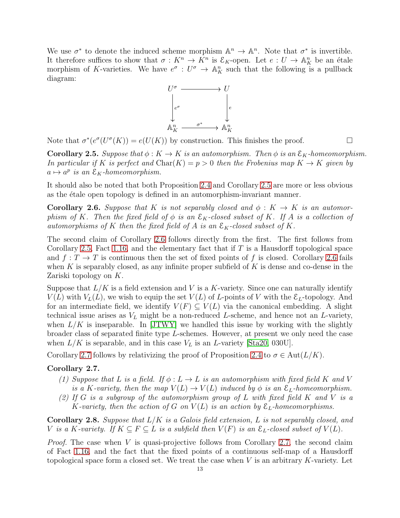We use  $\sigma^*$  to denote the induced scheme morphism  $\mathbb{A}^n \to \mathbb{A}^n$ . Note that  $\sigma^*$  is invertible. It therefore suffices to show that  $\sigma: K^n \to \overline{K}^n$  is  $\mathcal{E}_K$ -open. Let  $e: U \to \mathbb{A}_K^n$  be an étale morphism of K-varieties. We have  $e^{\sigma}: U^{\sigma} \to \mathbb{A}^n_K$  such that the following is a pullback diagram:



Note that  $\sigma^*(e^{\sigma}(U^{\sigma}(K)) = e(U(K))$  by construction. This finishes the proof.

<span id="page-12-0"></span>**Corollary 2.5.** Suppose that  $\phi: K \to K$  is an automorphism. Then  $\phi$  is an  $\mathcal{E}_K$ -homeomorphism. In particular if K is perfect and  $\text{Char}(K) = p > 0$  then the Frobenius map  $K \to K$  given by  $a \mapsto a^p$  is an  $\mathcal{E}_K$ -homeomorphism.

It should also be noted that both Proposition [2.4](#page-11-2) and Corollary [2.5](#page-12-0) are more or less obvious as the étale open topology is defined in an automorphism-invariant manner.

<span id="page-12-1"></span>**Corollary 2.6.** Suppose that K is not separably closed and  $\phi: K \to K$  is an automorphism of K. Then the fixed field of  $\phi$  is an  $\mathcal{E}_K$ -closed subset of K. If A is a collection of automorphisms of K then the fixed field of A is an  $\mathcal{E}_K$ -closed subset of K.

The second claim of Corollary [2.6](#page-12-1) follows directly from the first. The first follows from Corollary [2.5,](#page-12-0) Fact [1.16,](#page-10-3) and the elementary fact that if  $T$  is a Hausdorff topological space and  $f: T \to T$  is continuous then the set of fixed points of f is closed. Corollary [2.6](#page-12-1) fails when K is separably closed, as any infinite proper subfield of K is dense and co-dense in the Zariski topology on K.

Suppose that  $L/K$  is a field extension and V is a K-variety. Since one can naturally identify  $V(L)$  with  $V<sub>L</sub>(L)$ , we wish to equip the set  $V(L)$  of L-points of V with the  $\mathcal{E}<sub>L</sub>$ -topology. And for an intermediate field, we identify  $V(F) \subseteq V(L)$  via the canonical embedding. A slight technical issue arises as  $V<sub>L</sub>$  might be a non-reduced L-scheme, and hence not an L-variety, when  $L/K$  is inseparable. In [\[JTWY\]](#page-27-0) we handled this issue by working with the slightly broader class of separated finite type L-schemes. However, at present we only need the case when  $L/K$  is separable, and in this case  $V_L$  is an L-variety [\[Sta20,](#page-27-15) 030U].

Corollary [2.7](#page-12-2) follows by relativizing the proof of Proposition [2.4](#page-11-2) to  $\sigma \in \text{Aut}(L/K)$ .

# <span id="page-12-2"></span>Corollary 2.7.

- (1) Suppose that L is a field. If  $\phi: L \to L$  is an automorphism with fixed field K and V is a K-variety, then the map  $V(L) \rightarrow V(L)$  induced by  $\phi$  is an  $\mathcal{E}_L$ -homeomorphism.
- (2) If G is a subgroup of the automorphism group of L with fixed field K and V is a K-variety, then the action of G on  $V(L)$  is an action by  $\mathcal{E}_L$ -homeomorphisms.

<span id="page-12-3"></span>**Corollary 2.8.** Suppose that  $L/K$  is a Galois field extension, L is not separably closed, and V is a K-variety. If  $K \subseteq F \subseteq L$  is a subfield then  $V(F)$  is an  $\mathcal{E}_L$ -closed subset of  $V(L)$ .

Proof. The case when V is quasi-projective follows from Corollary [2.7,](#page-12-2) the second claim of Fact [1.16,](#page-10-3) and the fact that the fixed points of a continuous self-map of a Hausdorff topological space form a closed set. We treat the case when  $V$  is an arbitrary  $K$ -variety. Let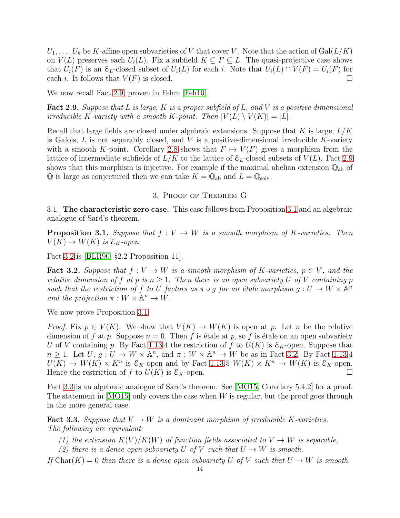$U_1, \ldots, U_k$  be K-affine open subvarieties of V that cover V. Note that the action of  $Gal(L/K)$ on  $V(L)$  preserves each  $U_i(L)$ . Fix a subfield  $K \subseteq F \subseteq L$ . The quasi-projective case shows that  $U_i(F)$  is an  $\mathcal{E}_L$ -closed subset of  $U_i(L)$  for each i. Note that  $U_i(L) \cap V(F) = U_i(F)$  for each i. It follows that  $V(F)$  is closed.

We now recall Fact [2.9,](#page-13-0) proven in Fehm [\[Feh10\]](#page-27-24).

<span id="page-13-0"></span>**Fact 2.9.** Suppose that L is large, K is a proper subfield of L, and V is a positive dimensional irreducible K-variety with a smooth K-point. Then  $|V(L) \setminus V(K)| = |L|$ .

Recall that large fields are closed under algebraic extensions. Suppose that K is large,  $L/K$ is Galois,  $L$  is not separably closed, and  $V$  is a positive-dimensional irreducible  $K$ -variety with a smooth K-point. Corollary [2.8](#page-12-3) shows that  $F \mapsto V(F)$  gives a morphism from the lattice of intermediate subfields of  $L/K$  to the lattice of  $\mathcal{E}_L$ -closed subsets of  $V(L)$ . Fact [2.9](#page-13-0) shows that this morphism is injective. For example if the maximal abelian extension  $\mathbb{Q}_{ab}$  of  $\mathbb Q$  is large as conjectured then we can take  $K = \mathbb Q_{ab}$  and  $L = \mathbb Q_{\text{solv}}$ .

### 3. Proof of Theorem G

3.1. The characteristic zero case. This case follows from Proposition [3.1](#page-13-1) and an algebraic analogue of Sard's theorem.

<span id="page-13-1"></span>**Proposition 3.1.** Suppose that  $f: V \to W$  is a smooth morphism of K-varieties. Then  $V(K) \to W(K)$  is  $\mathcal{E}_K$ -open.

Fact [3.2](#page-13-2) is [\[BLR90,](#page-26-3) §2.2 Proposition 11].

<span id="page-13-2"></span>**Fact 3.2.** Suppose that  $f: V \to W$  is a smooth morphism of K-varieties,  $p \in V$ , and the relative dimension of f at p is  $n \geq 1$ . Then there is an open subvariety U of V containing p such that the restriction of f to U factors as  $\pi \circ g$  for an étale morphism  $g: U \to W \times \mathbb{A}^n$ and the projection  $\pi : W \times \mathbb{A}^n \to W$ .

We now prove Proposition [3.1.](#page-13-1)

*Proof.* Fix  $p \in V(K)$ . We show that  $V(K) \to W(K)$  is open at p. Let n be the relative dimension of f at p. Suppose  $n = 0$ . Then f is étale at p, so f is étale on an open subvariety U of V containing p. By Fact [1.13.](#page-9-2)4 the restriction of f to  $U(K)$  is  $\mathcal{E}_K$ -open. Suppose that  $n \geq 1$ . Let  $U, g: U \to W \times \mathbb{A}^n$ , and  $\pi: W \times \mathbb{A}^n \to W$  be as in Fact [3.2.](#page-13-2) By Fact [1.13.](#page-9-2)4  $U(K) \to W(K) \times K^n$  is  $\mathcal{E}_K$ -open and by Fact [1.13.](#page-9-2)5  $W(K) \times K^n \to W(K)$  is  $\mathcal{E}_K$ -open. Hence the restriction of f to  $U(K)$  is  $\mathcal{E}_K$ -open.

Fact [3.3](#page-13-3) is an algebraic analogue of Sard's theorem. See [\[MO15,](#page-27-25) Corollary 5.4.2] for a proof. The statement in [\[MO15\]](#page-27-25) only covers the case when W is regular, but the proof goes through in the more general case.

<span id="page-13-3"></span>**Fact 3.3.** Suppose that  $V \to W$  is a dominant morphism of irreducible K-varieties. The following are equivalent:

- (1) the extension  $K(V)/K(W)$  of function fields associated to  $V \to W$  is separable,
- (2) there is a dense open subvariety U of V such that  $U \to W$  is smooth.

If  $Char(K) = 0$  then there is a dense open subvariety U of V such that  $U \rightarrow W$  is smooth.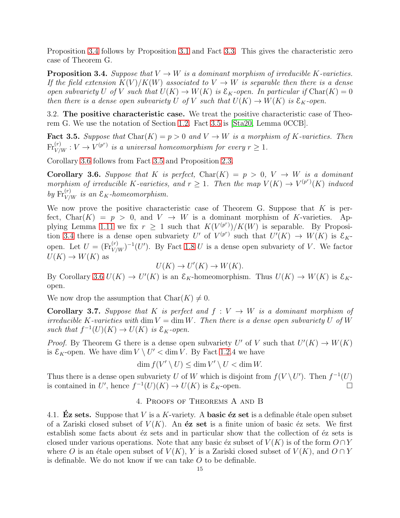Proposition [3.4](#page-14-0) follows by Proposition [3.1](#page-13-1) and Fact [3.3.](#page-13-3) This gives the characteristic zero case of Theorem G.

<span id="page-14-0"></span>**Proposition 3.4.** Suppose that  $V \to W$  is a dominant morphism of irreducible K-varieties. If the field extension  $K(V)/K(W)$  associated to  $V \to W$  is separable then there is a dense open subvariety U of V such that  $U(K) \to W(K)$  is  $\mathcal{E}_K$ -open. In particular if  $\text{Char}(K) = 0$ then there is a dense open subvariety U of V such that  $U(K) \to W(K)$  is  $\mathcal{E}_K$ -open.

3.2. The positive characteristic case. We treat the positive characteristic case of Theorem G. We use the notation of Section [1.2.](#page-7-3) Fact [3.5](#page-14-1) is [\[Sta20,](#page-27-15) Lemma 0CCB].

<span id="page-14-1"></span>**Fact 3.5.** Suppose that  $\text{Char}(K) = p > 0$  and  $V \rightarrow W$  is a morphism of K-varieties. Then  $\text{Fr}_{V/W}^{(r)}: V \to V^{(p^r)}$  is a universal homeomorphism for every  $r \geq 1$ .

Corollary [3.6](#page-14-2) follows from Fact [3.5](#page-14-1) and Proposition [2.3.](#page-11-3)

<span id="page-14-2"></span>**Corollary 3.6.** Suppose that K is perfect,  $Char(K) = p > 0$ ,  $V \rightarrow W$  is a dominant morphism of irreducible K-varieties, and  $r \geq 1$ . Then the map  $V(K) \to V^{(p^r)}(K)$  induced by  $\text{Fr}_{V/W}^{(r)}$  is an  $\mathcal{E}_K$ -homeomorphism.

We now prove the positive characteristic case of Theorem G. Suppose that  $K$  is perfect, Char $(K) = p > 0$ , and  $V \rightarrow W$  is a dominant morphism of K-varieties. Ap-plying Lemma [1.11](#page-9-3) we fix  $r \geq 1$  such that  $K(V^{(p^r)})/K(W)$  is separable. By Proposi-tion [3.4](#page-14-0) there is a dense open subvariety U' of  $V^{(p^r)}$  such that  $U'(K) \to W(K)$  is  $\mathcal{E}_K$ open. Let  $U = (\text{Fr}_{V/W}^{(r)})^{-1}(U')$ . By Fact [1.8](#page-8-0) U is a dense open subvariety of V. We factor  $U(K) \to W(K)$  as

$$
U(K) \to U'(K) \to W(K).
$$

By Corollary [3.6](#page-14-2)  $U(K) \to U'(K)$  is an  $\mathcal{E}_K$ -homeomorphism. Thus  $U(K) \to W(K)$  is  $\mathcal{E}_K$ open.

We now drop the assumption that  $Char(K) \neq 0$ .

<span id="page-14-3"></span>**Corollary 3.7.** Suppose that K is perfect and  $f: V \to W$  is a dominant morphism of irreducible K-varieties with dim  $V = \dim W$ . Then there is a dense open subvariety U of W such that  $f^{-1}(U)(K) \to U(K)$  is  $\mathcal{E}_K$ -open.

*Proof.* By Theorem G there is a dense open subvariety U' of V such that  $U'(K) \to W(K)$ is  $\mathcal{E}_K$ -open. We have dim  $V \setminus U' <$  dim V. By Fact [1.2.](#page-6-0)4 we have

 $\dim f(V' \setminus U) \leq \dim V' \setminus U < \dim W$ .

Thus there is a dense open subvariety U of W which is disjoint from  $f(V \setminus U')$ . Then  $f^{-1}(U)$ is contained in U', hence  $f^{-1}(U)(K) \to U(K)$  is  $\mathcal{E}_K$ -open.

# 4. Proofs of Theorems A and B

4.1. Ez sets. Suppose that V is a K-variety. A basic  $\acute{e}z$  set is a definable étale open subset of a Zariski closed subset of  $V(K)$ . An **éz set** is a finite union of basic éz sets. We first establish some facts about  $\acute{e}z$  sets and in particular show that the collection of  $\acute{e}z$  sets is closed under various operations. Note that any basic éz subset of  $V(K)$  is of the form  $O \cap Y$ where O is an étale open subset of  $V(K)$ , Y is a Zariski closed subset of  $V(K)$ , and  $O \cap Y$ is definable. We do not know if we can take  $O$  to be definable.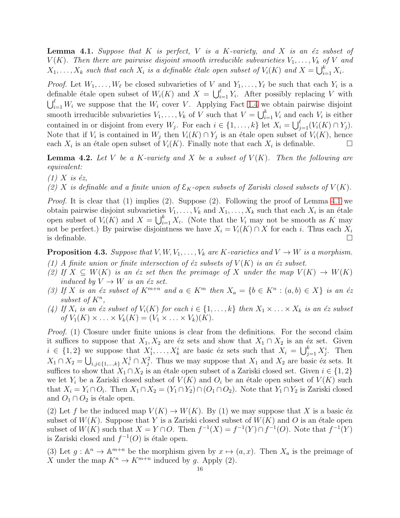<span id="page-15-1"></span>**Lemma 4.1.** Suppose that  $K$  is perfect,  $V$  is a  $K$ -variety, and  $X$  is an éz subset of  $V(K)$ . Then there are pairwise disjoint smooth irreducible subvarieties  $V_1, \ldots, V_k$  of V and  $X_1, \ldots, X_k$  such that each  $X_i$  is a definable étale open subset of  $V_i(K)$  and  $X = \bigcup_{i=1}^k X_i$ .

*Proof.* Let  $W_1, \ldots, W_\ell$  be closed subvarieties of V and  $Y_1, \ldots, Y_\ell$  be such that each  $Y_i$  is a definable étale open subset of  $W_i(K)$  and  $X = \bigcup_{i=1}^{\ell} Y_i$ . After possibly replacing V with  $\bigcup_{i=1}^{\ell} W_i$  we suppose that the  $W_i$  cover V. Applying Fact [1.4](#page-6-1) we obtain pairwise disjoint smooth irreducible subvarieties  $V_1, \ldots, V_k$  of V such that  $V = \bigcup_{i=1}^k V_i$  and each  $V_i$  is either contained in or disjoint from every  $W_j$ . For each  $i \in \{1, ..., k\}$  let  $X_i = \bigcup_{j=1}^{\ell} (V_i(K) \cap Y_j)$ . Note that if  $V_i$  is contained in  $W_j$  then  $V_i(K) \cap Y_j$  is an étale open subset of  $V_i(K)$ , hence each  $X_i$  is an étale open subset of  $V_i(K)$ . Finally note that each  $X_i$  is definable.

<span id="page-15-0"></span>**Lemma 4.2.** Let V be a K-variety and X be a subset of  $V(K)$ . Then the following are equivalent:

 $(1)$  X is éz,

(2) X is definable and a finite union of  $\mathcal{E}_K$ -open subsets of Zariski closed subsets of  $V(K)$ .

Proof. It is clear that (1) implies (2). Suppose (2). Following the proof of Lemma [4.1](#page-15-1) we obtain pairwise disjoint subvarieties  $V_1, \ldots, V_k$  and  $X_1, \ldots, X_k$  such that each  $X_i$  is an étale open subset of  $V_i(K)$  and  $X = \bigcup_{i=1}^k X_i$ . (Note that the  $V_i$  may not be smooth as K may not be perfect.) By pairwise disjointness we have  $X_i = V_i(K) \cap X$  for each i. Thus each  $X_i$ is definable.  $\Box$ 

<span id="page-15-2"></span>**Proposition 4.3.** Suppose that  $V, W, V_1, \ldots, V_k$  are K-varieties and  $V \rightarrow W$  is a morphism.

- (1) A finite union or finite intersection of  $\acute{e}z$  subsets of  $V(K)$  is an  $\acute{e}z$  subset.
- (2) If  $X \subseteq W(K)$  is an éz set then the preimage of X under the map  $V(K) \to W(K)$ induced by  $V \to W$  is an  $\acute{e}z$  set.
- (3) If X is an  $\acute{e}z$  subset of  $K^{m+n}$  and  $a \in K^m$  then  $X_a = \{b \in K^n : (a, b) \in X\}$  is an  $\acute{e}z$ subset of  $K^n$ ,
- (4) If  $X_i$  is an éz subset of  $V_i(K)$  for each  $i \in \{1, \ldots, k\}$  then  $X_1 \times \ldots \times X_k$  is an éz subset of  $V_1(K) \times \ldots \times V_k(K) = (V_1 \times \ldots \times V_k)(K)$ .

*Proof.* (1) Closure under finite unions is clear from the definitions. For the second claim it suffices to suppose that  $X_1, X_2$  are éz sets and show that  $X_1 \cap X_2$  is an éz set. Given  $i \in \{1,2\}$  we suppose that  $X_1^i, \ldots, X_k^i$  are basic éz sets such that  $X_i = \bigcup_{j=1}^k X_j^i$ . Then  $X_1 \cap X_2 = \bigcup_{i,j \in \{1,\dots,k\}} X_i^1 \cap X_j^2$ . Thus we may suppose that  $X_1$  and  $X_2$  are basic éz sets. It suffices to show that  $X_1 \cap X_2$  is an étale open subset of a Zariski closed set. Given  $i \in \{1,2\}$ we let  $Y_i$  be a Zariski closed subset of  $V(K)$  and  $O_i$  be an étale open subset of  $V(K)$  such that  $X_i = Y_i \cap O_i$ . Then  $X_1 \cap X_2 = (Y_1 \cap Y_2) \cap (O_1 \cap O_2)$ . Note that  $Y_1 \cap Y_2$  is Zariski closed and  $O_1 \cap O_2$  is étale open.

(2) Let f be the induced map  $V(K) \to W(K)$ . By (1) we may suppose that X is a basic  $\epsilon z$ subset of  $W(K)$ . Suppose that Y is a Zariski closed subset of  $W(K)$  and O is an étale open subset of  $W(K)$  such that  $X = Y \cap O$ . Then  $f^{-1}(X) = f^{-1}(Y) \cap f^{-1}(O)$ . Note that  $f^{-1}(Y)$ is Zariski closed and  $f^{-1}(O)$  is étale open.

(3) Let  $g : \mathbb{A}^n \to \mathbb{A}^{m+n}$  be the morphism given by  $x \mapsto (a, x)$ . Then  $X_a$  is the preimage of X under the map  $K^n \to K^{m+n}$  induced by g. Apply (2).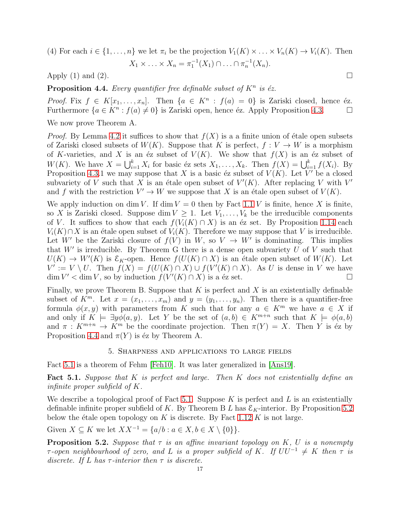(4) For each  $i \in \{1, \ldots, n\}$  we let  $\pi_i$  be the projection  $V_1(K) \times \ldots \times V_n(K) \to V_i(K)$ . Then

$$
X_1 \times \ldots \times X_n = \pi_1^{-1}(X_1) \cap \ldots \cap \pi_n^{-1}(X_n).
$$

Apply (1) and (2).

<span id="page-16-2"></span>**Proposition 4.4.** Every quantifier free definable subset of  $K^n$  is éz.

*Proof.* Fix  $f \in K[x_1, \ldots, x_n]$ . Then  $\{a \in K^n : f(a) = 0\}$  is Zariski closed, hence éz. Furthermore  $\{a \in K^n : f(a) \neq 0\}$  is Zariski open, hence éz. Apply Proposition [4.3.](#page-15-2)

We now prove Theorem A.

*Proof.* By Lemma [4.2](#page-15-0) it suffices to show that  $f(X)$  is a a finite union of étale open subsets of Zariski closed subsets of  $W(K)$ . Suppose that K is perfect,  $f: V \to W$  is a morphism of K-varieties, and X is an  $\acute{e}z$  subset of  $V(K)$ . We show that  $f(X)$  is an  $\acute{e}z$  subset of  $W(K)$ . We have  $X = \bigcup_{i=1}^{k} X_i$  for basic éz sets  $X_1, \ldots, X_k$ . Then  $f(X) = \bigcup_{i=1}^{k} f(X_i)$ . By Proposition [4.3.](#page-15-2)1 we may suppose that X is a basic éz subset of  $V(K)$ . Let V' be a closed subvariety of V such that X is an étale open subset of  $V'(K)$ . After replacing V with V' and f with the restriction  $V' \to W$  we suppose that X is an étale open subset of  $V(K)$ .

We apply induction on dim V. If dim  $V = 0$  then by Fact [1.1](#page-5-0) V is finite, hence X is finite, so X is Zariski closed. Suppose dim  $V \geq 1$ . Let  $V_1, \ldots, V_k$  be the irreducible components of V. It suffices to show that each  $f(V_i(K) \cap X)$  is an éz set. By Proposition [1.14](#page-10-1) each  $V_i(K) \cap X$  is an étale open subset of  $V_i(K)$ . Therefore we may suppose that V is irreducible. Let W' be the Zariski closure of  $f(V)$  in W, so  $V \to W'$  is dominating. This implies that  $W'$  is irreducible. By Theorem G there is a dense open subvariety  $U$  of  $V$  such that  $U(K) \to W'(K)$  is  $\mathcal{E}_K$ -open. Hence  $f(U(K) \cap X)$  is an étale open subset of  $W(K)$ . Let  $V' := V \setminus U$ . Then  $f(X) = f(U(K) \cap X) \cup f(V'(K) \cap X)$ . As U is dense in V we have  $\dim V' < \dim V$ , so by induction  $f(V'(K) \cap X)$  is a éz set.

Finally, we prove Theorem B. Suppose that  $K$  is perfect and  $X$  is an existentially definable subset of  $K^m$ . Let  $x = (x_1, \ldots, x_m)$  and  $y = (y_1, \ldots, y_n)$ . Then there is a quantifier-free formula  $\phi(x, y)$  with parameters from K such that for any  $a \in K^m$  we have  $a \in X$  if and only if  $K \models \exists y \phi(a, y)$ . Let Y be the set of  $(a, b) \in K^{m+n}$  such that  $K \models \phi(a, b)$ and  $\pi: K^{m+n} \to K^m$  be the coordinate projection. Then  $\pi(Y) = X$ . Then Y is éz by Proposition [4.4](#page-16-2) and  $\pi(Y)$  is éz by Theorem A.

### 5. Sharpness and applications to large fields

<span id="page-16-0"></span>Fact [5.1](#page-16-1) is a theorem of Fehm [\[Feh10\]](#page-27-24). It was later generalized in [\[Ans19\]](#page-26-4).

<span id="page-16-1"></span>**Fact 5.1.** Suppose that K is perfect and large. Then K does not existentially define an infinite proper subfield of K.

We describe a topological proof of Fact [5.1.](#page-16-1) Suppose  $K$  is perfect and  $L$  is an existentially definable infinite proper subfield of K. By Theorem B L has  $\mathcal{E}_K$ -interior. By Proposition [5.2](#page-16-3) below the étale open topology on K is discrete. By Fact [1.12](#page-9-1) K is not large.

Given  $X \subseteq K$  we let  $XX^{-1} = \{a/b : a \in X, b \in X \setminus \{0\}\}.$ 

<span id="page-16-3"></span>**Proposition 5.2.** Suppose that  $\tau$  is an affine invariant topology on K, U is a nonempty  $\tau$ -open neighbourhood of zero, and L is a proper subfield of K. If  $UU^{-1} \neq K$  then  $\tau$  is discrete. If L has  $\tau$ -interior then  $\tau$  is discrete.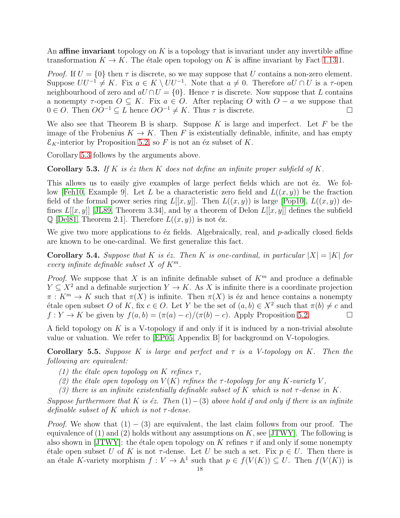An affine invariant topology on K is a topology that is invariant under any invertible affine transformation  $K \to K$ . The étale open topology on K is affine invariant by Fact [1.13.](#page-9-2)1.

*Proof.* If  $U = \{0\}$  then  $\tau$  is discrete, so we may suppose that U contains a non-zero element. Suppose  $UU^{-1} \neq K$ . Fix  $a \in K \setminus UV^{-1}$ . Note that  $a \neq 0$ . Therefore  $aU \cap U$  is a  $\tau$ -open neighbourhood of zero and  $aU \cap U = \{0\}$ . Hence  $\tau$  is discrete. Now suppose that L contains a nonempty  $\tau$ -open  $O \subseteq K$ . Fix  $a \in O$ . After replacing O with  $O - a$  we suppose that  $0 \in O$ . Then  $OO^{-1} \subseteq L$  hence  $OO^{-1} \neq K$ . Thus  $\tau$  is discrete.

We also see that Theorem B is sharp. Suppose  $K$  is large and imperfect. Let  $F$  be the image of the Frobenius  $K \to K$ . Then F is existentially definable, infinite, and has empty  $\mathcal{E}_K$ -interior by Proposition [5.2,](#page-16-3) so F is not an éz subset of K.

Corollary [5.3](#page-17-0) follows by the arguments above.

<span id="page-17-0"></span>**Corollary 5.3.** If K is  $\acute{e}z$  then K does not define an infinite proper subfield of K.

This allows us to easily give examples of large perfect fields which are not  $\acute{e}z$ . We fol-low [\[Feh10,](#page-27-24) Example 9]. Let L be a characteristic zero field and  $L((x, y))$  be the fraction field of the formal power series ring  $L[[x, y]]$ . Then  $L((x, y))$  is large [\[Pop10\]](#page-27-26),  $L((x, y))$  defines  $L[[x, y]]$  [\[JL89,](#page-27-27) Theorem 3.34], and by a theorem of Delon  $L[[x, y]]$  defines the subfield  $\mathbb{Q}$  [\[Del81,](#page-26-5) Theorem 2.1]. Therefore  $L((x, y))$  is not éz.

We give two more applications to  $\acute{e}z$  fields. Algebraically, real, and  $p$ -adically closed fields are known to be one-cardinal. We first generalize this fact.

Corollary 5.4. Suppose that K is  $\acute{e}z$ . Then K is one-cardinal, in particular  $|X| = |K|$  for every infinite definable subset X of  $K^m$ .

*Proof.* We suppose that X is an infinite definable subset of  $K<sup>m</sup>$  and produce a definable  $Y \subseteq X^2$  and a definable surjection  $Y \to K$ . As X is infinite there is a coordinate projection  $\pi: K^m \to K$  such that  $\pi(X)$  is infinite. Then  $\pi(X)$  is éz and hence contains a nonempty étale open subset O of K, fix  $c \in O$ . Let Y be the set of  $(a, b) \in X^2$  such that  $\pi(b) \neq c$  and  $f: Y \to K$  be given by  $f(a, b) = (\pi(a) - c)/(\pi(b) - c)$ . Apply Proposition [5.2.](#page-16-3)

A field topology on  $K$  is a V-topology if and only if it is induced by a non-trivial absolute value or valuation. We refer to [\[EP05,](#page-27-5) Appendix B] for background on V-topologies.

**Corollary 5.5.** Suppose K is large and perfect and  $\tau$  is a V-topology on K. Then the following are equivalent:

- (1) the étale open topology on K refines  $\tau$ ,
- (2) the étale open topology on  $V(K)$  refines the  $\tau$ -topology for any K-variety V,
- (3) there is an infinite existentially definable subset of K which is not  $\tau$ -dense in K.

Suppose furthermore that K is  $\epsilon z$ . Then  $(1) - (3)$  above hold if and only if there is an infinite definable subset of K which is not  $\tau$ -dense.

*Proof.* We show that  $(1) - (3)$  are equivalent, the last claim follows from our proof. The equivalence of (1) and (2) holds without any assumptions on  $K$ , see [\[JTWY\]](#page-27-0). The following is also shown in [\[JTWY\]](#page-27-0): the étale open topology on K refines  $\tau$  if and only if some nonempty  $\forall$  etale open subset U of K is not  $\tau$ -dense. Let U be such a set. Fix  $p \in U$ . Then there is an étale K-variety morphism  $f : V \to \mathbb{A}^1$  such that  $p \in f(V(K)) \subseteq U$ . Then  $f(V(K))$  is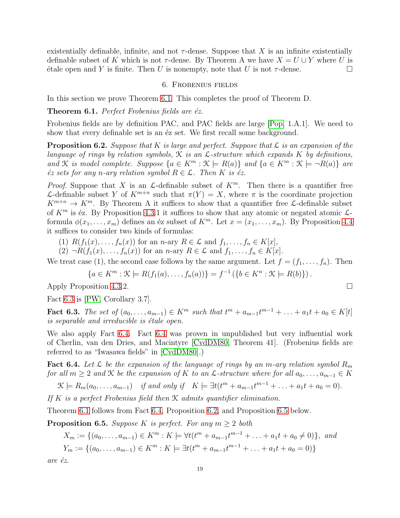existentially definable, infinite, and not  $\tau$ -dense. Suppose that X is an infinite existentially definable subset of K which is not  $\tau$ -dense. By Theorem A we have  $X = U \cup Y$  where U is  $\forall$  is finite. Then U is nonempty, note that U is not  $\tau$ -dense.

# 6. Frobenius fields

<span id="page-18-0"></span>In this section we prove Theorem [6.1.](#page-18-2) This completes the proof of Theorem D.

<span id="page-18-2"></span>**Theorem 6.1.** Perfect Frobenius fields are  $éz$ .

Frobenius fields are by definition PAC, and PAC fields are large [\[Pop,](#page-27-22) 1.A.1]. We need to show that every definable set is an  $\acute{e}z$  set. We first recall some background.

<span id="page-18-4"></span>**Proposition 6.2.** Suppose that K is large and perfect. Suppose that  $\mathcal{L}$  is an expansion of the language of rings by relation symbols,  $\mathcal K$  is an  $\mathcal L$ -structure which expands  $K$  by definitions, and K is model complete. Suppose  $\{a \in K^m : \mathcal{K} \models R(a)\}\$  and  $\{a \in K^m : \mathcal{K} \models \neg R(a)\}\$  are  $\acute{e}z$  sets for any n-ary relation symbol  $R \in \mathcal{L}$ . Then K is  $\acute{e}z$ .

*Proof.* Suppose that X is an L-definable subset of  $K^m$ . Then there is a quantifier free L-definable subset Y of  $K^{m+n}$  such that  $\pi(Y) = X$ , where  $\pi$  is the coordinate projection  $K^{m+n} \to K^m$ . By Theorem A it suffices to show that a quantifier free L-definable subset of  $K^m$  is éz. By Proposition [4.3.](#page-15-2)1 it suffices to show that any atomic or negated atomic  $\mathcal{L}$ formula  $\phi(x_1, \ldots, x_m)$  defines an éz subset of  $K^m$ . Let  $x = (x_1, \ldots, x_m)$ . By Proposition [4.4](#page-16-2) it suffices to consider two kinds of formulas:

- (1)  $R(f_1(x),...,f_n(x))$  for an n-ary  $R \in \mathcal{L}$  and  $f_1,...,f_n \in K[x]$ ,
- (2)  $\neg R(f_1(x), \ldots, f_n(x))$  for an n-ary  $R \in \mathcal{L}$  and  $f_1, \ldots, f_n \in K[x]$ .

We treat case (1), the second case follows by the same argument. Let  $f = (f_1, \ldots, f_n)$ . Then

$$
\{a \in K^m : \mathcal{K} \models R(f_1(a), \dots, f_n(a))\} = f^{-1}(\{b \in K^n : \mathcal{K} \models R(b)\}).
$$

Apply Proposition [4.3.](#page-15-2)2.

Fact [6.3](#page-18-3) is [\[PW,](#page-27-21) Corollary 3.7].

<span id="page-18-3"></span>**Fact 6.3.** The set of  $(a_0, ..., a_{m-1}) \in K^m$  such that  $t^m + a_{m-1}t^{m-1} + ... + a_1t + a_0 \in K[t]$ is separable and irreducible is étale open.

We also apply Fact [6.4.](#page-18-1) Fact [6.4](#page-18-1) was proven in unpublished but very influential work of Cherlin, van den Dries, and Macintyre [\[CvdDM80,](#page-26-6) Theorem 41]. (Frobenius fields are referred to as "Iwasawa fields" in [\[CvdDM80\]](#page-26-6).)

<span id="page-18-1"></span>**Fact 6.4.** Let  $\mathcal L$  be the expansion of the language of rings by an m-ary relation symbol  $R_m$ for all  $m \geq 2$  and  $K$  be the expansion of K to an  $\mathcal{L}$ -structure where for all  $a_0, \ldots, a_{m-1} \in K$ 

 $\mathcal{K} \models R_m(a_0, \ldots, a_{m-1})$  if and only if  $K \models \exists t (t^m + a_{m-1}t^{m-1} + \ldots + a_1t + a_0 = 0).$ 

If K is a perfect Frobenius field then  $K$  admits quantifier elimination.

Theorem [6.1](#page-18-2) follows from Fact [6.4,](#page-18-1) Proposition [6.2,](#page-18-4) and Proposition [6.5](#page-18-5) below.

<span id="page-18-5"></span>**Proposition 6.5.** Suppose K is perfect. For any  $m \geq 2$  both

$$
X_m := \{(a_0, \dots, a_{m-1}) \in K^m : K \models \forall t (t^m + a_{m-1}t^{m-1} + \dots + a_1t + a_0 \neq 0)\}, \text{ and}
$$
  

$$
Y_m := \{(a_0, \dots, a_{m-1}) \in K^m : K \models \exists t (t^m + a_{m-1}t^{m-1} + \dots + a_1t + a_0 = 0)\}
$$

are éz.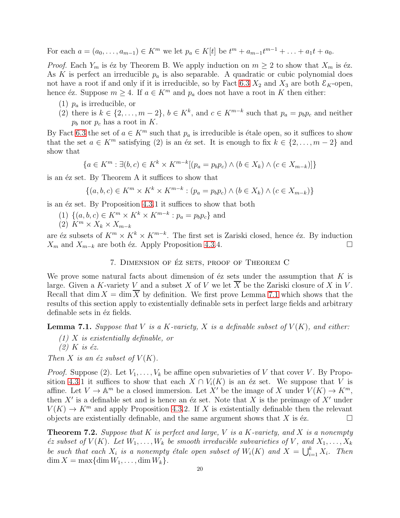For each  $a = (a_0, \ldots, a_{m-1}) \in K^m$  we let  $p_a \in K[t]$  be  $t^m + a_{m-1}t^{m-1} + \ldots + a_1t + a_0$ .

*Proof.* Each  $Y_m$  is éz by Theorem B. We apply induction on  $m \geq 2$  to show that  $X_m$  is éz. As K is perfect an irreducible  $p_a$  is also separable. A quadratic or cubic polynomial does not have a root if and only if it is irreducible, so by Fact [6.3](#page-18-3)  $X_2$  and  $X_3$  are both  $\mathcal{E}_K$ -open, hence éz. Suppose  $m \geq 4$ . If  $a \in K^m$  and  $p_a$  does not have a root in K then either:

- (1)  $p_a$  is irreducible, or
- (2) there is  $k \in \{2, \ldots, m-2\}, b \in K^k$ , and  $c \in K^{m-k}$  such that  $p_a = p_b p_c$  and neither  $p_b$  nor  $p_c$  has a root in K.

By Fact [6.3](#page-18-3) the set of  $a \in K^m$  such that  $p_a$  is irreducible is étale open, so it suffices to show that the set  $a \in K^m$  satisfying (2) is an éz set. It is enough to fix  $k \in \{2, \ldots, m-2\}$  and show that

$$
\{a \in K^m : \exists (b, c) \in K^k \times K^{m-k}[(p_a = p_b p_c) \land (b \in X_k) \land (c \in X_{m-k})]\}
$$

is an  $\acute{e}z$  set. By Theorem A it suffices to show that

 $\{(a, b, c) \in K^m \times K^k \times K^{m-k} : (p_a = p_b p_c) \wedge (b \in X_k) \wedge (c \in X_{m-k})\}$ 

is an  $\acute{e}z$  set. By Proposition [4.3.](#page-15-2)1 it suffices to show that both

- (1)  $\{(a, b, c) \in K^m \times K^k \times K^{m-k} : p_a = p_b p_c\}$  and
- $(2)$   $K^m \times X_k \times X_{m-k}$

are éz subsets of  $K^m \times K^k \times K^{m-k}$ . The first set is Zariski closed, hence éz. By induction  $X_m$  and  $X_{m-k}$  are both éz. Apply Proposition [4.3.](#page-15-2)4.

7. DIMENSION OF ÉZ SETS, PROOF OF THEOREM C

We prove some natural facts about dimension of  $\acute{e}z$  sets under the assumption that K is large. Given a K-variety V and a subset X of V we let  $\overline{X}$  be the Zariski closure of X in V. Recall that dim  $X = \dim X$  by definition. We first prove Lemma [7.1](#page-19-0) which shows that the results of this section apply to existentially definable sets in perfect large fields and arbitrary definable sets in  $\acute{e}z$  fields.

<span id="page-19-0"></span>**Lemma 7.1.** Suppose that V is a K-variety, X is a definable subset of  $V(K)$ , and either:

- (1) X is existentially definable, or
- $(2)$  K is éz.

Then X is an  $\acute{e}z$  subset of  $V(K)$ .

*Proof.* Suppose (2). Let  $V_1, \ldots, V_k$  be affine open subvarieties of V that cover V. By Propo-sition [4.3.](#page-15-2)1 it suffices to show that each  $X \cap V_i(K)$  is an éz set. We suppose that V is affine. Let  $V \to \mathbb{A}^m$  be a closed immersion. Let X' be the image of X under  $V(K) \to K^m$ , then  $X'$  is a definable set and is hence an éz set. Note that X is the preimage of  $X'$  under  $V(K) \to K^m$  and apply Proposition [4.3.](#page-15-2)2. If X is existentially definable then the relevant objects are existentially definable, and the same argument shows that X is  $\epsilon$ z.

<span id="page-19-1"></span>**Theorem 7.2.** Suppose that K is perfect and large, V is a K-variety, and X is a nonempty  $\acute{e}z$  subset of  $V(K)$ . Let  $W_1, \ldots, W_k$  be smooth irreducible subvarieties of V, and  $X_1, \ldots, X_k$ be such that each  $X_i$  is a nonempty étale open subset of  $W_i(K)$  and  $X = \bigcup_{i=1}^k X_i$ . Then  $\dim X = \max{\dim W_1, \ldots, \dim W_k}.$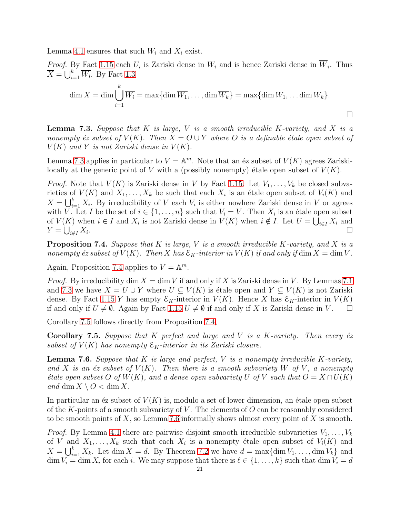Lemma [4.1](#page-15-1) ensures that such  $W_i$  and  $X_i$  exist.

*Proof.* By Fact [1.15](#page-10-2) each  $U_i$  is Zariski dense in  $W_i$  and is hence Zariski dense in  $W_i$ . Thus  $\overline{X} = \bigcup_{i=1}^{k} \overline{W_i}$ . By Fact [1.3](#page-6-2)

$$
\dim X = \dim \bigcup_{i=1}^{k} \overline{W_i} = \max \{ \dim \overline{W_1}, \dots, \dim \overline{W_k} \} = \max \{ \dim W_1, \dots \dim W_k \}.
$$

<span id="page-20-0"></span>**Lemma 7.3.** Suppose that  $K$  is large,  $V$  is a smooth irreducible  $K$ -variety, and  $X$  is a nonempty éz subset of  $V(K)$ . Then  $X = O \cup Y$  where O is a definable étale open subset of  $V(K)$  and Y is not Zariski dense in  $V(K)$ .

Lemma [7.3](#page-20-0) applies in particular to  $V = \mathbb{A}^m$ . Note that an éz subset of  $V(K)$  agrees Zariskilocally at the generic point of V with a (possibly nonempty) étale open subset of  $V(K)$ .

*Proof.* Note that  $V(K)$  is Zariski dense in V by Fact [1.15.](#page-10-2) Let  $V_1, \ldots, V_k$  be closed subvarieties of  $V(K)$  and  $X_1, \ldots, X_k$  be such that each  $X_i$  is an étale open subset of  $V_i(K)$  and  $X = \bigcup_{i=1}^{k} X_i$ . By irreducibility of V each  $V_i$  is either nowhere Zariski dense in V or agrees with V. Let I be the set of  $i \in \{1, \ldots, n\}$  such that  $V_i = V$ . Then  $X_i$  is an étale open subset of  $V(K)$  when  $i \in I$  and  $X_i$  is not Zariski dense in  $V(K)$  when  $i \notin I$ . Let  $U = \bigcup_{i \in I} X_i$  and  $Y=\bigcup_{i\notin I}X_i$ .  $\sum_{k=1}^{\infty}$ 

<span id="page-20-1"></span>**Proposition 7.4.** Suppose that  $K$  is large,  $V$  is a smooth irreducible  $K$ -variety, and  $X$  is a nonempty éz subset of  $V(K)$ . Then X has  $\mathcal{E}_K$ -interior in  $V(K)$  if and only if dim  $X = \dim V$ .

Again, Proposition [7.4](#page-20-1) applies to  $V = \mathbb{A}^m$ .

*Proof.* By irreducibility dim  $X = \dim V$  if and only if X is Zariski dense in V. By Lemmas [7.1](#page-19-0) and [7.3](#page-20-0) we have  $X = U \cup Y$  where  $U \subseteq V(K)$  is étale open and  $Y \subseteq V(K)$  is not Zariski dense. By Fact [1.15](#page-10-2) Y has empty  $\mathcal{E}_K$ -interior in  $V(K)$ . Hence X has  $\mathcal{E}_K$ -interior in  $V(K)$ if and only if  $U \neq \emptyset$ . Again by Fact [1.15](#page-10-2)  $U \neq \emptyset$  if and only if X is Zariski dense in V.  $\square$ 

Corollary [7.5](#page-20-2) follows directly from Proposition [7.4,](#page-20-1)

<span id="page-20-2"></span>**Corollary 7.5.** Suppose that K perfect and large and V is a K-variety. Then every  $\acute{e}z$ subset of  $V(K)$  has nonempty  $\mathcal{E}_K$ -interior in its Zariski closure.

<span id="page-20-3"></span>**Lemma 7.6.** Suppose that  $K$  is large and perfect,  $V$  is a nonempty irreducible  $K$ -variety, and X is an  $\epsilon z$  subset of  $V(K)$ . Then there is a smooth subvariety W of V, a nonempty *étale open subset* O of  $W(K)$ , and a dense open subvariety U of V such that  $O = X \cap U(K)$ and dim  $X \setminus O < \dim X$ .

In particular an  $\acute{e}z$  subset of  $V(K)$  is, modulo a set of lower dimension, an  $\acute{e}t$  and  $\acute{e}t$  subset of the K-points of a smooth subvariety of V. The elements of  $O$  can be reasonably considered to be smooth points of  $X$ , so Lemma [7.6](#page-20-3) informally shows almost every point of  $X$  is smooth.

*Proof.* By Lemma [4.1](#page-15-1) there are pairwise disjoint smooth irreducible subvarieties  $V_1, \ldots, V_k$ of V and  $X_1, \ldots, X_k$  such that each  $X_i$  is a nonempty étale open subset of  $V_i(K)$  and  $X = \bigcup_{i=1}^{k} X_k$ . Let dim  $X = d$ . By Theorem [7.2](#page-19-1) we have  $d = \max{\dim V_1, \ldots, \dim V_k}$  and  $\dim V_i = \dim X_i$  for each i. We may suppose that there is  $\ell \in \{1, \ldots, k\}$  such that  $\dim V_i = d$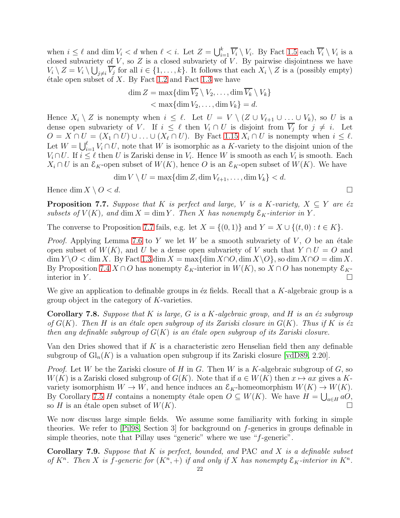when  $i \leq \ell$  and dim  $V_i < d$  when  $\ell < i$ . Let  $Z = \bigcup_{i=1}^k \overline{V_i} \setminus V_i$ . By Fact [1.5](#page-7-0) each  $\overline{V_i} \setminus V_i$  is a closed subvariety of  $V$ , so  $Z$  is a closed subvariety of  $V$ . By pairwise disjointness we have  $V_i \setminus Z = V_i \setminus \bigcup_{j \neq i} \overline{V_j}$  for all  $i \in \{1, \ldots, k\}$ . It follows that each  $X_i \setminus Z$  is a (possibly empty)  $\acute{e}$ tale open subset of X. By Fact [1.2](#page-6-0) and Fact [1.3](#page-6-2) we have

$$
\dim Z = \max\{\dim \overline{V_2} \setminus V_2, \dots, \dim \overline{V_k} \setminus V_k\} < \max\{\dim V_2, \dots, \dim V_k\} = d.
$$

Hence  $X_i \setminus Z$  is nonempty when  $i \leq \ell$ . Let  $U = V \setminus (Z \cup V_{\ell+1} \cup ... \cup V_k)$ , so U is a dense open subvariety of V. If  $i \leq \ell$  then  $V_i \cap U$  is disjoint from  $V_j$  for  $j \neq i$ . Let  $O = X \cap U = (X_1 \cap U) \cup \ldots \cup (X_\ell \cap U)$ . By Fact [1.15](#page-10-2)  $X_i \cap U$  is nonempty when  $i \leq \ell$ . Let  $W = \bigcup_{i=1}^{\ell} V_i \cap U$ , note that W is isomorphic as a K-variety to the disjoint union of the  $V_i \cap U$ . If  $i \leq \ell$  then U is Zariski dense in  $V_i$ . Hence W is smooth as each  $V_i$  is smooth. Each  $X_i \cap U$  is an  $\mathcal{E}_K$ -open subset of  $W(K)$ , hence O is an  $\mathcal{E}_K$ -open subset of  $W(K)$ . We have

$$
\dim V \setminus U = \max\{\dim Z, \dim V_{\ell+1}, \dots, \dim V_k\} < d.
$$

Hence  $\dim X \setminus O < d$ .

<span id="page-21-0"></span>**Proposition 7.7.** Suppose that K is perfect and large, V is a K-variety,  $X \subseteq Y$  are éz subsets of  $V(K)$ , and dim  $X = \dim Y$ . Then X has nonempty  $\mathcal{E}_K$ -interior in Y.

The converse to Proposition [7.7](#page-21-0) fails, e.g. let  $X = \{(0,1)\}\$ and  $Y = X \cup \{(t,0): t \in K\}$ .

*Proof.* Applying Lemma [7.6](#page-20-3) to Y we let W be a smooth subvariety of V, O be an étale open subset of  $W(K)$ , and U be a dense open subvariety of V such that  $Y \cap U = O$  and  $\dim Y \backslash O < \dim X$ . By Fact [1.3](#page-6-2)  $\dim X = \max{\dim X \cap O}$ ,  $\dim X \backslash O$ , so  $\dim X \cap O = \dim X$ . By Proposition [7.4](#page-20-1)  $X \cap O$  has nonempty  $\mathcal{E}_K$ -interior in  $W(K)$ , so  $X \cap O$  has nonempty  $\mathcal{E}_K$ interior in Y.  $\Box$ 

We give an application to definable groups in  $\acute{\text{e}}$  fields. Recall that a K-algebraic group is a group object in the category of K-varieties.

**Corollary 7.8.** Suppose that K is large, G is a K-algebraic group, and H is an  $\acute{e}z$  subgroup of  $G(K)$ . Then H is an étale open subgroup of its Zariski closure in  $G(K)$ . Thus if K is éz then any definable subgroup of  $G(K)$  is an étale open subgroup of its Zariski closure.

Van den Dries showed that if K is a characteristic zero Henselian field then any definable subgroup of  $Gl_n(K)$  is a valuation open subgroup if its Zariski closure [\[vdD89,](#page-27-2) 2.20].

*Proof.* Let W be the Zariski closure of H in G. Then W is a K-algebraic subgroup of G, so  $W(K)$  is a Zariski closed subgroup of  $G(K)$ . Note that if  $a \in W(K)$  then  $x \mapsto ax$  gives a Kvariety isomorphism  $W \to W$ , and hence induces an  $\mathcal{E}_K$ -homeomorphism  $W(K) \to W(K)$ . By Corollary [7.5](#page-20-2) H contains a nonempty étale open  $O \subseteq W(K)$ . We have  $H = \bigcup_{a \in H} aO$ , so H is an étale open subset of  $W(K)$ .

We now discuss large simple fields. We assume some familiarity with forking in simple theories. We refer to [\[Pil98,](#page-27-28) Section 3] for background on f-generics in groups definable in simple theories, note that Pillay uses "generic" where we use "f-generic".

<span id="page-21-1"></span>**Corollary 7.9.** Suppose that  $K$  is perfect, bounded, and PAC and  $X$  is a definable subset of  $K^n$ . Then X is f-generic for  $(K^n, +)$  if and only if X has nonempty  $\mathcal{E}_K$ -interior in  $K^n$ .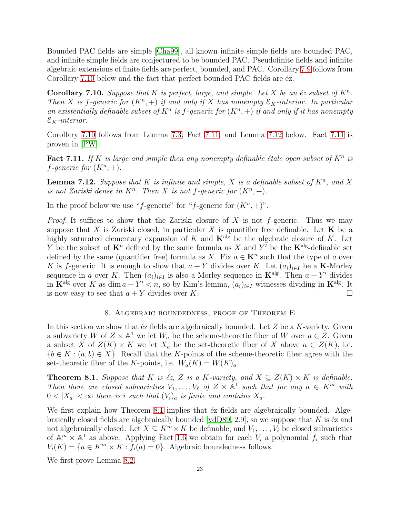Bounded PAC fields are simple [\[Cha99\]](#page-26-7), all known infinite simple fields are bounded PAC, and infinite simple fields are conjectured to be bounded PAC. Pseudofinite fields and infinite algebraic extensions of finite fields are perfect, bounded, and PAC. Corollary [7.9](#page-21-1) follows from Corollary [7.10](#page-22-0) below and the fact that perfect bounded PAC fields are  $\acute{e}z$ .

<span id="page-22-0"></span>**Corollary 7.10.** Suppose that K is perfect, large, and simple. Let X be an  $\acute{e}z$  subset of  $K^n$ . Then X is f-generic for  $(K^n, +)$  if and only if X has nonempty  $\mathcal{E}_K$ -interior. In particular an existentially definable subset of  $K^n$  is f-generic for  $(K^n, +)$  if and only if it has nonempty  $\mathcal{E}_K\text{-}interior.$ 

Corollary [7.10](#page-22-0) follows from Lemma [7.3,](#page-20-0) Fact [7.11,](#page-22-1) and Lemma [7.12](#page-22-2) below. Fact [7.11](#page-22-1) is proven in [\[PW\]](#page-27-21).

<span id="page-22-1"></span>Fact 7.11. If K is large and simple then any nonempty definable étale open subset of  $K^n$  is f-generic for  $(K^n, +)$ .

<span id="page-22-2"></span>**Lemma 7.12.** Suppose that K is infinite and simple, X is a definable subset of  $K<sup>n</sup>$ , and X is not Zariski dense in  $K^n$ . Then X is not f-generic for  $(K^n, +)$ .

In the proof below we use "f-generic" for "f-generic for  $(K^n, +)$ ".

*Proof.* It suffices to show that the Zariski closure of X is not f-generic. Thus we may suppose that X is Zariski closed, in particular X is quantifier free definable. Let  $\bf{K}$  be a highly saturated elementary expansion of K and  $\mathbf{K}^{\text{alg}}$  be the algebraic closure of K. Let Y be the subset of  $\mathbf{K}^n$  defined by the same formula as X and Y' be the  $\mathbf{K}^{\text{alg}}$ -definable set defined by the same (quantifier free) formula as X. Fix  $a \in \mathbf{K}^n$  such that the type of a over K is f-generic. It is enough to show that  $a + Y$  divides over K. Let  $(a_i)_{i \in I}$  be a **K**-Morley sequence in a over K. Then  $(a_i)_{i\in I}$  is also a Morley sequence in  $\mathbf{K}^{\text{alg}}$ . Then  $a + Y'$  divides in  $\mathbf{K}^{\text{alg}}$  over K as dim  $a + Y' < n$ , so by Kim's lemma,  $(a_i)_{i \in I}$  witnesses dividing in  $\mathbf{K}^{\text{alg}}$ . It is now easy to see that  $a + Y$  divides over K.

## 8. Algebraic boundedness, proof of Theorem E

In this section we show that  $\acute{e}z$  fields are algebraically bounded. Let  $Z$  be a K-variety. Given a subvariety W of  $Z \times \mathbb{A}^1$  we let  $W_a$  be the scheme-theoretic fiber of W over  $a \in Z$ . Given a subset X of  $Z(K) \times K$  we let  $X_a$  be the set-theoretic fiber of X above  $a \in Z(K)$ , i.e.  ${b \in K : (a, b) \in X}$ . Recall that the K-points of the scheme-theoretic fiber agree with the set-theoretic fiber of the K-points, i.e.  $W_a(K) = W(K)_a$ .

<span id="page-22-3"></span>**Theorem 8.1.** Suppose that K is  $\epsilon z$ , Z is a K-variety, and  $X \subseteq Z(K) \times K$  is definable. Then there are closed subvarieties  $V_1, \ldots, V_\ell$  of  $Z \times \mathbb{A}^1$  such that for any  $a \in K^m$  with  $0 < |X_a| < \infty$  there is i such that  $(V_i)_a$  is finite and contains  $X_a$ .

We first explain how Theorem [8.1](#page-22-3) implies that  $\acute{e}z$  fields are algebraically bounded. Algebraically closed fields are algebraically bounded  $[\text{vdD89}, 2.9]$ , so we suppose that K is  $\acute{\text{e}}$ z and not algebraically closed. Let  $X \subseteq K^m \times K$  be definable, and  $V_1, \ldots, V_\ell$  be closed subvarieties of  $\mathbb{A}^m \times \mathbb{A}^1$  as above. Applying Fact [1.6](#page-7-1) we obtain for each  $V_i$  a polynomial  $f_i$  such that  $V_i(K) = \{a \in K^m \times K : f_i(a) = 0\}.$  Algebraic boundedness follows.

We first prove Lemma [8.2.](#page-23-0)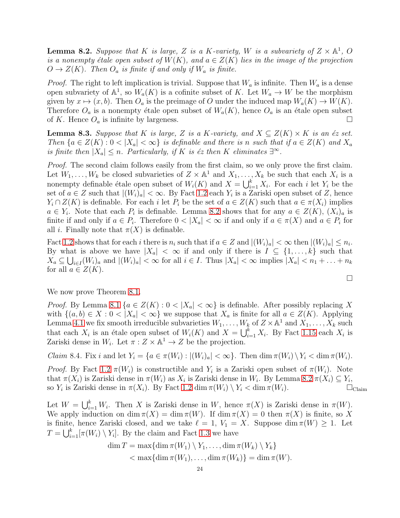<span id="page-23-0"></span>**Lemma 8.2.** Suppose that K is large, Z is a K-variety, W is a subvariety of  $Z \times \mathbb{A}^1$ , O is a nonempty étale open subset of  $W(K)$ , and  $a \in Z(K)$  lies in the image of the projection  $O \to Z(K)$ . Then  $O_a$  is finite if and only if  $W_a$  is finite.

*Proof.* The right to left implication is trivial. Suppose that  $W_a$  is infinite. Then  $W_a$  is a dense open subvariety of  $\mathbb{A}^1$ , so  $W_a(K)$  is a cofinite subset of K. Let  $W_a \to W$  be the morphism given by  $x \mapsto (x, b)$ . Then  $O_a$  is the preimage of O under the induced map  $W_a(K) \to W(K)$ . Therefore  $O_a$  is a nonempty étale open subset of  $W_a(K)$ , hence  $O_a$  is an étale open subset of K. Hence  $O_a$  is infinite by largeness.

**Lemma 8.3.** Suppose that K is large, Z is a K-variety, and  $X \subseteq Z(K) \times K$  is an éz set. Then  ${a \in Z(K) : 0 < |X_a| < \infty}$  is definable and there is n such that if  $a \in Z(K)$  and  $X_a$ is finite then  $|X_a| \leq n$ . Particularly, if K is éz then K eliminates  $\exists^{\infty}$ .

Proof. The second claim follows easily from the first claim, so we only prove the first claim. Let  $W_1, \ldots, W_k$  be closed subvarieties of  $Z \times \mathbb{A}^1$  and  $X_1, \ldots, X_k$  be such that each  $X_i$  is a nonempty definable étale open subset of  $W_i(K)$  and  $X = \bigcup_{i=1}^k X_i$ . For each i let  $Y_i$  be the set of  $a \in \mathbb{Z}$  such that  $|(W_i)_a| < \infty$ . By Fact [1.2](#page-6-0) each  $Y_i$  is a Zariski open subset of  $\mathbb{Z}$ , hence  $Y_i \cap Z(K)$  is definable. For each i let  $P_i$  be the set of  $a \in Z(K)$  such that  $a \in \pi(X_i)$  implies  $a \in Y_i$ . Note that each  $P_i$  is definable. Lemma [8.2](#page-23-0) shows that for any  $a \in Z(K)$ ,  $(X_i)_a$  is finite if and only if  $a \in P_i$ . Therefore  $0 < |X_a| < \infty$  if and only if  $a \in \pi(X)$  and  $a \in P_i$  for all *i*. Finally note that  $\pi(X)$  is definable.

Fact [1.2](#page-6-0) shows that for each i there is  $n_i$  such that if  $a \in \mathbb{Z}$  and  $|(W_i)_a| < \infty$  then  $|(W_i)_a| \leq n_i$ . By what is above we have  $|X_a| < \infty$  if and only if there is  $I \subseteq \{1, \ldots, k\}$  such that  $X_a \subseteq \bigcup_{i \in I} (W_i)_a$  and  $|(W_i)_a| < \infty$  for all  $i \in I$ . Thus  $|X_a| < \infty$  implies  $|X_a| < n_1 + \ldots + n_k$ for all  $a \in Z(K)$ .

 $\Box$ 

We now prove Theorem [8.1.](#page-22-3)

*Proof.* By Lemma [8.1](#page-22-3) { $a \in Z(K) : 0 < |X_a| < \infty$ } is definable. After possibly replacing X with  $\{(a, b) \in X : 0 < |X_a| < \infty\}$  we suppose that  $X_a$  is finite for all  $a \in Z(K)$ . Applying Lemma [4.1](#page-15-1) we fix smooth irreducible subvarieties  $W_1, \ldots, W_k$  of  $Z \times \mathbb{A}^1$  and  $X_1, \ldots, X_k$  such that each  $X_i$  is an étale open subset of  $W_i(K)$  and  $X = \bigcup_{i=1}^k X_i$ . By Fact [1.15](#page-10-2) each  $X_i$  is Zariski dense in  $W_i$ . Let  $\pi: Z \times \mathbb{A}^1 \to Z$  be the projection.

*Claim* 8.4. Fix i and let  $Y_i = \{a \in \pi(W_i) : |(W_i)_a| < \infty\}$ . Then  $\dim \pi(W_i) \setminus Y_i < \dim \pi(W_i)$ .

*Proof.* By Fact [1.2](#page-6-0)  $\pi(W_i)$  is constructible and  $Y_i$  is a Zariski open subset of  $\pi(W_i)$ . Note that  $\pi(X_i)$  is Zariski dense in  $\pi(W_i)$  as  $X_i$  is Zariski dense in  $W_i$ . By Lemma [8.2](#page-23-0)  $\pi(X_i) \subseteq Y_i$ , so  $Y_i$  is Zariski dense in  $\pi(X_i)$ . By Fact [1.2](#page-6-0) dim  $\pi(W_i) \setminus Y_i < \dim \pi(W_i)$ .

Let  $W = \bigcup_{i=1}^k W_i$ . Then X is Zariski dense in W, hence  $\pi(X)$  is Zariski dense in  $\pi(W)$ . We apply induction on dim  $\pi(X) = \dim \pi(W)$ . If  $\dim \pi(X) = 0$  then  $\pi(X)$  is finite, so X is finite, hence Zariski closed, and we take  $\ell = 1, V_1 = X$ . Suppose dim  $\pi(W) \geq 1$ . Let  $T = \bigcup_{i=1}^{k} [\pi(W_i) \setminus Y_i]$ . By the claim and Fact [1.3](#page-6-2) we have

$$
\dim T = \max\{\dim \pi(W_1) \setminus Y_1, \dots, \dim \pi(W_k) \setminus Y_k\} \n< \max\{\dim \pi(W_1), \dots, \dim \pi(W_k)\} = \dim \pi(W).
$$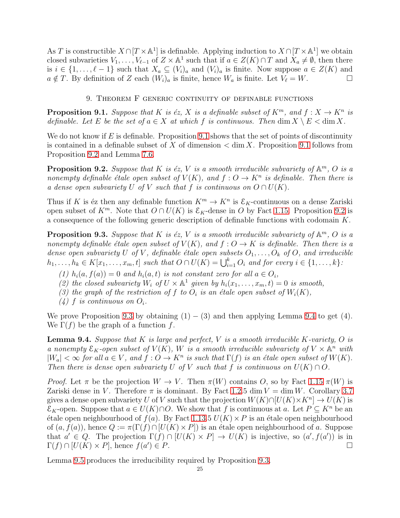As T is constructible  $X \cap [T \times \mathbb{A}^1]$  is definable. Applying induction to  $X \cap [T \times \mathbb{A}^1]$  we obtain closed subvarieties  $V_1, \ldots, V_{\ell-1}$  of  $Z \times \mathbb{A}^1$  such that if  $a \in Z(K) \cap T$  and  $X_a \neq \emptyset$ , then there is  $i \in \{1, \ldots, \ell-1\}$  such that  $X_a \subseteq (V_i)_a$  and  $(V_i)_a$  is finite. Now suppose  $a \in Z(K)$  and  $a \notin T$ . By definition of Z each  $(W_i)_a$  is finite, hence  $W_a$  is finite. Let  $V_\ell = W$ .

## 9. Theorem F generic continuity of definable functions

<span id="page-24-2"></span><span id="page-24-0"></span>**Proposition 9.1.** Suppose that K is éz, X is a definable subset of  $K^m$ , and  $f : X \to K^n$  is definable. Let E be the set of  $a \in X$  at which f is continuous. Then  $\dim X \setminus E < \dim X$ .

We do not know if  $E$  is definable. Proposition [9.1](#page-24-2) shows that the set of points of discontinuity is contained in a definable subset of X of dimension  $\lt$  dim X. Proposition [9.1](#page-24-2) follows from Proposition [9.2](#page-24-3) and Lemma [7.6.](#page-20-3)

<span id="page-24-3"></span>**Proposition 9.2.** Suppose that K is éz, V is a smooth irreducible subvariety of  $\mathbb{A}^m$ , O is a nonempty definable étale open subset of  $V(K)$ , and  $f: O \to K^n$  is definable. Then there is a dense open subvariety U of V such that f is continuous on  $O \cap U(K)$ .

Thus if K is éz then any definable function  $K^m \to K^n$  is  $\mathcal{E}_K$ -continuous on a dense Zariski open subset of  $K^m$ . Note that  $O \cap U(K)$  is  $\mathcal{E}_K$ -dense in O by Fact [1.15.](#page-10-2) Proposition [9.2](#page-24-3) is a consequence of the following generic description of definable functions with codomain K.

<span id="page-24-1"></span>**Proposition 9.3.** Suppose that K is éz, V is a smooth irreducible subvariety of  $\mathbb{A}^m$ , O is a nonempty definable étale open subset of  $V(K)$ , and  $f: O \to K$  is definable. Then there is a dense open subvariety U of V, definable étale open subsets  $O_1, \ldots, O_k$  of O, and irreducible  $h_1, \ldots, h_k \in K[x_1, \ldots, x_m, t]$  such that  $O \cap U(K) = \bigcup_{i=1}^k O_i$  and for every  $i \in \{1, \ldots, k\}$ :

- (1)  $h_i(a, f(a)) = 0$  and  $h_i(a, t)$  is not constant zero for all  $a \in O_i$ ,
- (2) the closed subvariety  $W_i$  of  $U \times \mathbb{A}^1$  given by  $h_i(x_1, \ldots, x_m, t) = 0$  is smooth,
- (3) the graph of the restriction of f to  $O_i$  is an étale open subset of  $W_i(K)$ ,
- $(4)$  f is continuous on  $O_i$ .

We prove Proposition [9.3](#page-24-1) by obtaining  $(1) - (3)$  and then applying Lemma [9.4](#page-24-4) to get  $(4)$ . We  $\Gamma(f)$  be the graph of a function f.

<span id="page-24-4"></span>**Lemma 9.4.** Suppose that K is large and perfect, V is a smooth irreducible K-variety, O is a nonempty  $\mathcal{E}_K$ -open subset of  $V(K)$ , W is a smooth irreducible subvariety of  $V \times \mathbb{A}^n$  with  $|W_a| < \infty$  for all  $a \in V$ , and  $f: O \to K^n$  is such that  $\Gamma(f)$  is an étale open subset of  $W(K)$ . Then there is dense open subvariety U of V such that f is continuous on  $U(K) \cap O$ .

*Proof.* Let  $\pi$  be the projection  $W \to V$ . Then  $\pi(W)$  contains O, so by Fact [1.15](#page-10-2)  $\pi(W)$  is Zariski dense in V. Therefore  $\pi$  is dominant. By Fact [1.2.](#page-6-0)5 dim  $V = \dim W$ . Corollary [3.7](#page-14-3) gives a dense open subvariety U of V such that the projection  $W(K) \cap [U(K) \times K^n] \to U(K)$  is  $\mathcal{E}_K$ -open. Suppose that  $a \in U(K) \cap O$ . We show that f is continuous at a. Let  $P \subseteq K^n$  be an  $\acute{e}$ tale open neighbourhood of  $f(a)$ . By Fact [1.13.](#page-9-2)5  $U(K) \times P$  is an  $\acute{e}$ tale open neighbourhood of  $(a, f(a))$ , hence  $Q := \pi(\Gamma(f) \cap [U(K) \times P])$  is an étale open neighbourhood of a. Suppose that  $a' \in Q$ . The projection  $\Gamma(f) \cap [U(K) \times P] \to U(K)$  is injective, so  $(a', f(a'))$  is in  $\Gamma(f) \cap [U(K) \times P]$ , hence  $f(a')$  $\big) \in P.$ 

Lemma [9.5](#page-25-0) produces the irreducibility required by Proposition [9.3.](#page-24-1)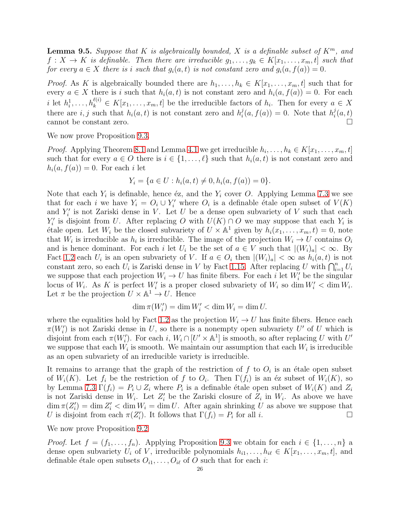<span id="page-25-0"></span>**Lemma 9.5.** Suppose that K is algebraically bounded, X is a definable subset of  $K^m$ , and  $f: X \to K$  is definable. Then there are irreducible  $g_1, \ldots, g_k \in K[x_1, \ldots, x_m, t]$  such that for every  $a \in X$  there is i such that  $g_i(a, t)$  is not constant zero and  $g_i(a, f(a)) = 0$ .

*Proof.* As K is algebraically bounded there are  $h_1, \ldots, h_k \in K[x_1, \ldots, x_m, t]$  such that for every  $a \in X$  there is i such that  $h_i(a, t)$  is not constant zero and  $h_i(a, f(a)) = 0$ . For each i let  $h_i^1, \ldots, h_k^{\ell(i)} \in K[x_1, \ldots, x_m, t]$  be the irreducible factors of  $h_i$ . Then for every  $a \in X$ there are  $i, j$  such that  $h_i(a, t)$  is not constant zero and  $h_i^j$  $i(a, f(a)) = 0$ . Note that  $h_i^j$  $\frac{\partial}{\partial t}(a,t)$ cannot be constant zero.

We now prove Proposition [9.3.](#page-24-1)

*Proof.* Applying Theorem [8.1](#page-22-3) and Lemma [4.1](#page-15-1) we get irreducible  $h_i, \ldots, h_k \in K[x_1, \ldots, x_m, t]$ such that for every  $a \in O$  there is  $i \in \{1, \ldots, \ell\}$  such that  $h_i(a, t)$  is not constant zero and  $h_i(a, f(a)) = 0$ . For each i let

$$
Y_i = \{a \in U : h_i(a, t) \neq 0, h_i(a, f(a)) = 0\}.
$$

Note that each  $Y_i$  is definable, hence éz, and the  $Y_i$  cover O. Applying Lemma [7.3](#page-20-0) we see that for each *i* we have  $Y_i = O_i \cup Y'_i$  where  $O_i$  is a definable étale open subset of  $V(K)$ and  $Y_i'$  is not Zariski dense in V. Let U be a dense open subvariety of V such that each  $Y_i'$  is disjoint from U. After replacing O with  $U(K) \cap O$  we may suppose that each  $Y_i$  is étale open. Let  $W_i$  be the closed subvariety of  $U \times \mathbb{A}^1$  given by  $h_i(x_1, \ldots, x_m, t) = 0$ , note that  $W_i$  is irreducible as  $h_i$  is irreducible. The image of the projection  $W_i \to U$  contains  $O_i$ and is hence dominant. For each i let  $U_i$  be the set of  $a \in V$  such that  $|(W_i)_a| < \infty$ . By Fact [1.2](#page-6-0) each  $U_i$  is an open subvariety of V. If  $a \in O_i$  then  $|(W_i)_a| < \infty$  as  $h_i(a, t)$  is not constant zero, so each  $U_i$  is Zariski dense in V by Fact [1.15.](#page-10-2) After replacing U with  $\bigcap_{i=1}^n U_i$ we suppose that each projection  $W_i \to U$  has finite fibers. For each i let  $W'_i$  be the singular locus of  $W_i$ . As K is perfect  $W'_i$  is a proper closed subvariety of  $W_i$  so dim  $W'_i$  < dim  $W'_i$ . Let  $\pi$  be the projection  $U \times \mathbb{A}^1 \to U$ . Hence

$$
\dim \pi(W_i') = \dim W_i' < \dim W_i = \dim U.
$$

where the equalities hold by Fact [1.2](#page-6-0) as the projection  $W_i \to U$  has finite fibers. Hence each  $\pi(W_i')$  is not Zariski dense in U, so there is a nonempty open subvariety U' of U which is disjoint from each  $\pi(W_i')$ . For each i,  $W_i \cap [U' \times \mathbb{A}^1]$  is smooth, so after replacing U with U' we suppose that each  $W_i$  is smooth. We maintain our assumption that each  $W_i$  is irreducible as an open subvariety of an irreducible variety is irreducible.

It remains to arrange that the graph of the restriction of  $f$  to  $O_i$  is an étale open subset of  $W_i(K)$ . Let  $f_i$  be the restriction of f to  $O_i$ . Then  $\Gamma(f_i)$  is an éz subset of  $W_i(K)$ , so by Lemma [7.3](#page-20-0)  $\Gamma(f_i) = P_i \cup Z_i$  where  $P_i$  is a definable étale open subset of  $W_i(K)$  and  $Z_i$ is not Zariski dense in  $W_i$ . Let  $Z'_i$  be the Zariski closure of  $Z_i$  in  $W_i$ . As above we have  $\dim \pi(Z_i') = \dim Z_i' < \dim W_i = \dim U$ . After again shrinking U as above we suppose that U is disjoint from each  $\pi(Z'_i)$ . It follows that  $\Gamma(\tilde{f}_i) = P_i$  for all i.

We now prove Proposition [9.2](#page-24-3)

*Proof.* Let  $f = (f_1, \ldots, f_n)$ . Applying Proposition [9.3](#page-24-1) we obtain for each  $i \in \{1, \ldots, n\}$  a dense open subvariety  $U_i$  of V, irreducible polynomials  $h_{i1}, \ldots, h_{i\ell} \in K[x_1, \ldots, x_m, t]$ , and definable étale open subsets  $O_{i1}, \ldots, O_{i\ell}$  of O such that for each *i*: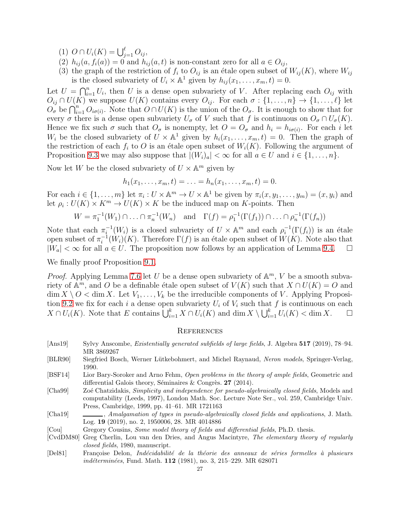- (1)  $O \cap U_i(K) = \bigcup_{j=1}^{\ell} O_{ij},$
- (2)  $h_{ij}(a, f_i(a)) = 0$  and  $h_{ij}(a, t)$  is non-constant zero for all  $a \in O_{ij}$ ,
- (3) the graph of the restriction of  $f_i$  to  $O_{ij}$  is an étale open subset of  $W_{ij}(K)$ , where  $W_{ij}$ is the closed subvariety of  $U_i \times \mathbb{A}^1$  given by  $h_{ij}(x_1, \ldots, x_m, t) = 0$ .

Let  $U = \bigcap_{i=1}^n U_i$ , then U is a dense open subvariety of V. After replacing each  $O_{ij}$  with  $O_{ij} \cap U(K)$  we suppose  $U(K)$  contains every  $O_{ij}$ . For each  $\sigma : \{1, \ldots, n\} \to \{1, \ldots, \ell\}$  let  $\overline{O_{\sigma}}$  be  $\bigcap_{i=1}^{n} O_{i\sigma(i)}$ . Note that  $O \cap U(K)$  is the union of the  $O_{\sigma}$ . It is enough to show that for every  $\sigma$  there is a dense open subvariety  $U_{\sigma}$  of V such that f is continuous on  $O_{\sigma} \cap U_{\sigma}(K)$ . Hence we fix such  $\sigma$  such that  $O_{\sigma}$  is nonempty, let  $O = O_{\sigma}$  and  $h_i = h_{i\sigma(i)}$ . For each i let  $W_i$  be the closed subvariety of  $U \times \mathbb{A}^1$  given by  $h_i(x_1, \ldots, x_m, t) = 0$ . Then the graph of the restriction of each  $f_i$  to O is an étale open subset of  $W_i(K)$ . Following the argument of Proposition [9.3](#page-24-1) we may also suppose that  $|(W_i)_a| < \infty$  for all  $a \in U$  and  $i \in \{1, \ldots, n\}$ .

Now let W be the closed subvariety of  $U \times \mathbb{A}^m$  given by

$$
h_1(x_1, \ldots, x_m, t) = \ldots = h_n(x_1, \ldots, x_m, t) = 0.
$$

For each  $i \in \{1, \ldots, m\}$  let  $\pi_i : U \times \mathbb{A}^m \to U \times \mathbb{A}^1$  be given by  $\pi_i(x, y_1, \ldots, y_m) = (x, y_i)$  and let  $\rho_i: U(K) \times K^m \to U(K) \times K$  be the induced map on K-points. Then

$$
W = \pi_1^{-1}(W_1) \cap \ldots \cap \pi_n^{-1}(W_n) \quad \text{and} \quad \Gamma(f) = \rho_1^{-1}(\Gamma(f_1)) \cap \ldots \cap \rho_n^{-1}(\Gamma(f_n))
$$

Note that each  $\pi_i^{-1}(W_i)$  is a closed subvariety of  $U \times \mathbb{A}^m$  and each  $\rho_i^{-1}(\Gamma(f_i))$  is an étale open subset of  $\pi_i^{-1}$  $i^{-1}(W_i)(K)$ . Therefore  $\Gamma(f)$  is an étale open subset of  $W(K)$ . Note also that  $|W_a| < \infty$  for all  $a \in U$ . The proposition now follows by an application of Lemma [9.4.](#page-24-4)  $\Box$ 

We finally proof Proposition [9.1.](#page-24-2)

*Proof.* Applying Lemma [7.6](#page-20-3) let U be a dense open subvariety of  $\mathbb{A}^m$ , V be a smooth subvariety of  $\mathbb{A}^m$ , and O be a definable étale open subset of  $V(K)$  such that  $X \cap U(K) = O$  and  $\dim X \setminus O < \dim X$ . Let  $V_1, \ldots, V_k$  be the irreducible components of V. Applying Proposi-tion [9.2](#page-24-3) we fix for each i a dense open subvariety  $U_i$  of  $V_i$  such that f is continuous on each  $X \cap U_i(K)$ . Note that E contains  $\bigcup_{i=1}^k X \cap U_i(K)$  and  $\dim X \setminus \bigcup_{i=1}^k U_i(K) < \dim X$ .  $\Box$ 

## **REFERENCES**

- <span id="page-26-4"></span>[Ans19] Sylvy Anscombe, Existentially generated subfields of large fields, J. Algebra 517 (2019), 78–94. MR 3869267
- <span id="page-26-3"></span>[BLR90] Siegfried Bosch, Werner Lütkebohmert, and Michel Raynaud, Neron models, Springer-Verlag, 1990.
- <span id="page-26-1"></span>[BSF14] Lior Bary-Soroker and Arno Fehm, Open problems in the theory of ample fields, Geometric and differential Galois theory, Séminaires & Congrès. 27 (2014).
- <span id="page-26-7"></span>[Cha99] Zoé Chatzidakis, Simplicity and independence for pseudo-algebraically closed fields, Models and computability (Leeds, 1997), London Math. Soc. Lecture Note Ser., vol. 259, Cambridge Univ. Press, Cambridge, 1999, pp. 41–61. MR 1721163
- <span id="page-26-0"></span>[Cha19] , Amalgamation of types in pseudo-algebraically closed fields and applications, J. Math. Log. 19 (2019), no. 2, 1950006, 28. MR 4014886
- <span id="page-26-2"></span>[Cou] Gregory Cousins, Some model theory of fields and differential fields, Ph.D. thesis.
- <span id="page-26-6"></span>[CvdDM80] Greg Cherlin, Lou van den Dries, and Angus Macintyre, The elementary theory of regularly closed fields, 1980, manuscript.
- <span id="page-26-5"></span>[Del81] Françoise Delon, *Indécidabilité de la théorie des anneaux de séries formelles à plusieurs* indéterminées, Fund. Math. 112 (1981), no. 3, 215–229. MR 628071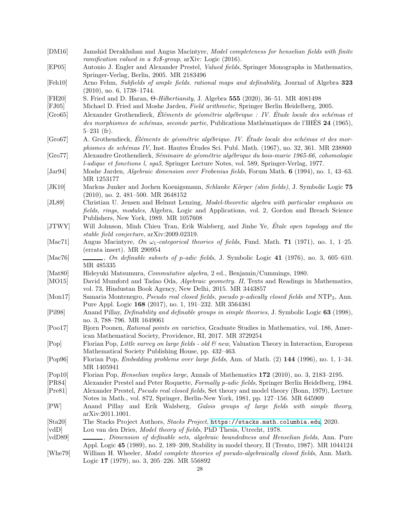<span id="page-27-28"></span><span id="page-27-27"></span><span id="page-27-26"></span><span id="page-27-25"></span><span id="page-27-24"></span><span id="page-27-23"></span><span id="page-27-22"></span><span id="page-27-21"></span><span id="page-27-20"></span><span id="page-27-19"></span><span id="page-27-18"></span><span id="page-27-17"></span><span id="page-27-16"></span><span id="page-27-15"></span><span id="page-27-14"></span><span id="page-27-13"></span><span id="page-27-12"></span><span id="page-27-11"></span><span id="page-27-10"></span><span id="page-27-9"></span><span id="page-27-8"></span><span id="page-27-7"></span><span id="page-27-6"></span><span id="page-27-5"></span><span id="page-27-4"></span><span id="page-27-3"></span><span id="page-27-2"></span><span id="page-27-1"></span><span id="page-27-0"></span>

| [EP05]<br>Antonio J. Engler and Alexander Prestel, Valued fields, Springer Monographs in Mathematics,<br>Springer-Verlag, Berlin, 2005. MR 2183496<br>[Feh10]<br>Arno Fehm, Subfields of ample fields. rational maps and definability, Journal of Algebra 323<br>$(2010)$ , no. 6, 1738-1744.<br>[FH20]<br>S. Fried and D. Haran, $\Theta$ - <i>Hilbertianity</i> , J. Algebra 555 (2020), 36–51. MR 4081498<br>[FJ05]<br>Michael D. Fried and Moshe Jarden, Field arithmetic, Springer Berlin Heidelberg, 2005.<br>[Gro65]<br>$5-231$ (fr).<br>[Gro67]<br>A. Grothendieck, Éléments de géométrie algébrique. IV. Étude locale des schémas et des mor-<br>phismes de schémas IV, Inst. Hautes Études Sci. Publ. Math. (1967), no. 32, 361. MR 238860<br>Alexandre Grothendieck, Séminaire de géométrie algébrique du bois-marie 1965-66, cohomologie<br>[Gro77]<br>l-adique et fonctions l, sga5, Springer Lecture Notes, vol. 589, Springer-Verlag, 1977.<br>Moshe Jarden, <i>Algebraic dimension over Frobenius fields</i> , Forum Math. 6 (1994), no. 1, 43–63.<br>$\left[ \text{Jar}94\right]$<br>MR 1253177<br>[JK10]<br>Markus Junker and Jochen Koenigsmann, Schlanke Körper (slim fields), J. Symbolic Logic 75<br>$(2010)$ , no. 2, 481-500. MR 2648152<br>Christian U. Jensen and Helmut Lenzing, Model-theoretic algebra with particular emphasis on<br>[JL89]<br>fields, rings, modules, Algebra, Logic and Applications, vol. 2, Gordon and Breach Science<br>Publishers, New York, 1989. MR 1057608<br>Will Johnson, Minh Chieu Tran, Erik Walsberg, and Jinhe Ye, Etale open topology and the<br>[JTWY]<br>stable field conjecture, arXiv:2009.02319.<br>Angus Macintyre, On $\omega_1$ -categorical theories of fields, Fund. Math. 71 (1971), no. 1, 1–25.<br>[Mac71]<br>(errata insert). MR 290954<br>[Mac76]<br>MR 485335<br>Hideyuki Matsumura, Commutative algebra, 2 ed., Benjamin/Cummings, 1980.<br>[Mat80]<br>[MO15]<br>vol. 73, Hindustan Book Agency, New Delhi, 2015. MR 3443857<br>Samaria Montenegro, Pseudo real closed fields, pseudo p-adically closed fields and NTP <sub>2</sub> , Ann.<br>[Mon17]<br>Pure Appl. Logic 168 (2017), no. 1, 191-232. MR 3564381<br>[Pil98]<br>Anand Pillay, <i>Definability and definable groups in simple theories</i> , J. Symbolic Logic 63 (1998),<br>no. 3, 788-796. MR 1649061<br>Bjorn Poonen, Rational points on varieties, Graduate Studies in Mathematics, vol. 186, Amer-<br>[Pool7]<br>ican Mathematical Society, Providence, RI, 2017. MR 3729254<br>Florian Pop, Little survey on large fields - old & new, Valuation Theory in Interaction, European<br>[Pop]<br>Mathematical Society Publishing House, pp. 432–463.<br>[Pop96]<br>Florian Pop, Embedding problems over large fields, Ann. of Math. (2) 144 (1996), no. 1, 1-34.<br>MR 1405941<br>[Pop10]<br>Florian Pop, <i>Henselian implies large</i> , Annals of Mathematics 172 (2010), no. 3, 2183–2195.<br>Alexander Prestel and Peter Roquette, Formally p-adic fields, Springer Berlin Heidelberg, 1984.<br>[PR84]<br>Alexander Prestel, <i>Pseudo real closed fields</i> , Set theory and model theory (Bonn, 1979), Lecture<br>[Pre81]<br>Notes in Math., vol. 872, Springer, Berlin-New York, 1981, pp. 127–156. MR 645909<br>[PW]<br>Anand Pillay and Erik Walsberg, Galois groups of large fields with simple theory,<br>arXiv:2011.1001.<br>The Stacks Project Authors, Stacks Project, https://stacks.math.columbia.edu, 2020.<br>[Sta20]<br>Lou van den Dries, Model theory of fields, PhD Thesis, Utrecht, 1978.<br>[vdD]<br>$[\text{vdD89}]$<br>[Whe79]<br>Logic 17 (1979), no. 3, 205-226. MR 556892 | [DM16] | Jamshid Derakhshan and Angus Macintyre, Model completeness for henselian fields with finite     |
|----------------------------------------------------------------------------------------------------------------------------------------------------------------------------------------------------------------------------------------------------------------------------------------------------------------------------------------------------------------------------------------------------------------------------------------------------------------------------------------------------------------------------------------------------------------------------------------------------------------------------------------------------------------------------------------------------------------------------------------------------------------------------------------------------------------------------------------------------------------------------------------------------------------------------------------------------------------------------------------------------------------------------------------------------------------------------------------------------------------------------------------------------------------------------------------------------------------------------------------------------------------------------------------------------------------------------------------------------------------------------------------------------------------------------------------------------------------------------------------------------------------------------------------------------------------------------------------------------------------------------------------------------------------------------------------------------------------------------------------------------------------------------------------------------------------------------------------------------------------------------------------------------------------------------------------------------------------------------------------------------------------------------------------------------------------------------------------------------------------------------------------------------------------------------------------------------------------------------------------------------------------------------------------------------------------------------------------------------------------------------------------------------------------------------------------------------------------------------------------------------------------------------------------------------------------------------------------------------------------------------------------------------------------------------------------------------------------------------------------------------------------------------------------------------------------------------------------------------------------------------------------------------------------------------------------------------------------------------------------------------------------------------------------------------------------------------------------------------------------------------------------------------------------------------------------------------------------------------------------------------------------------------------------------------------------------------------------------------------------------------------------------------------------------------------------------------------------------------------------------------------------------------------------------------------------------------------------------------------------------------------------------------------|--------|-------------------------------------------------------------------------------------------------|
|                                                                                                                                                                                                                                                                                                                                                                                                                                                                                                                                                                                                                                                                                                                                                                                                                                                                                                                                                                                                                                                                                                                                                                                                                                                                                                                                                                                                                                                                                                                                                                                                                                                                                                                                                                                                                                                                                                                                                                                                                                                                                                                                                                                                                                                                                                                                                                                                                                                                                                                                                                                                                                                                                                                                                                                                                                                                                                                                                                                                                                                                                                                                                                                                                                                                                                                                                                                                                                                                                                                                                                                                                                                          |        | ramification valued in a $$z$-group$ , arXiv: Logic (2016).                                     |
|                                                                                                                                                                                                                                                                                                                                                                                                                                                                                                                                                                                                                                                                                                                                                                                                                                                                                                                                                                                                                                                                                                                                                                                                                                                                                                                                                                                                                                                                                                                                                                                                                                                                                                                                                                                                                                                                                                                                                                                                                                                                                                                                                                                                                                                                                                                                                                                                                                                                                                                                                                                                                                                                                                                                                                                                                                                                                                                                                                                                                                                                                                                                                                                                                                                                                                                                                                                                                                                                                                                                                                                                                                                          |        |                                                                                                 |
|                                                                                                                                                                                                                                                                                                                                                                                                                                                                                                                                                                                                                                                                                                                                                                                                                                                                                                                                                                                                                                                                                                                                                                                                                                                                                                                                                                                                                                                                                                                                                                                                                                                                                                                                                                                                                                                                                                                                                                                                                                                                                                                                                                                                                                                                                                                                                                                                                                                                                                                                                                                                                                                                                                                                                                                                                                                                                                                                                                                                                                                                                                                                                                                                                                                                                                                                                                                                                                                                                                                                                                                                                                                          |        |                                                                                                 |
|                                                                                                                                                                                                                                                                                                                                                                                                                                                                                                                                                                                                                                                                                                                                                                                                                                                                                                                                                                                                                                                                                                                                                                                                                                                                                                                                                                                                                                                                                                                                                                                                                                                                                                                                                                                                                                                                                                                                                                                                                                                                                                                                                                                                                                                                                                                                                                                                                                                                                                                                                                                                                                                                                                                                                                                                                                                                                                                                                                                                                                                                                                                                                                                                                                                                                                                                                                                                                                                                                                                                                                                                                                                          |        |                                                                                                 |
|                                                                                                                                                                                                                                                                                                                                                                                                                                                                                                                                                                                                                                                                                                                                                                                                                                                                                                                                                                                                                                                                                                                                                                                                                                                                                                                                                                                                                                                                                                                                                                                                                                                                                                                                                                                                                                                                                                                                                                                                                                                                                                                                                                                                                                                                                                                                                                                                                                                                                                                                                                                                                                                                                                                                                                                                                                                                                                                                                                                                                                                                                                                                                                                                                                                                                                                                                                                                                                                                                                                                                                                                                                                          |        |                                                                                                 |
|                                                                                                                                                                                                                                                                                                                                                                                                                                                                                                                                                                                                                                                                                                                                                                                                                                                                                                                                                                                                                                                                                                                                                                                                                                                                                                                                                                                                                                                                                                                                                                                                                                                                                                                                                                                                                                                                                                                                                                                                                                                                                                                                                                                                                                                                                                                                                                                                                                                                                                                                                                                                                                                                                                                                                                                                                                                                                                                                                                                                                                                                                                                                                                                                                                                                                                                                                                                                                                                                                                                                                                                                                                                          |        |                                                                                                 |
|                                                                                                                                                                                                                                                                                                                                                                                                                                                                                                                                                                                                                                                                                                                                                                                                                                                                                                                                                                                                                                                                                                                                                                                                                                                                                                                                                                                                                                                                                                                                                                                                                                                                                                                                                                                                                                                                                                                                                                                                                                                                                                                                                                                                                                                                                                                                                                                                                                                                                                                                                                                                                                                                                                                                                                                                                                                                                                                                                                                                                                                                                                                                                                                                                                                                                                                                                                                                                                                                                                                                                                                                                                                          |        |                                                                                                 |
|                                                                                                                                                                                                                                                                                                                                                                                                                                                                                                                                                                                                                                                                                                                                                                                                                                                                                                                                                                                                                                                                                                                                                                                                                                                                                                                                                                                                                                                                                                                                                                                                                                                                                                                                                                                                                                                                                                                                                                                                                                                                                                                                                                                                                                                                                                                                                                                                                                                                                                                                                                                                                                                                                                                                                                                                                                                                                                                                                                                                                                                                                                                                                                                                                                                                                                                                                                                                                                                                                                                                                                                                                                                          |        | Alexander Grothendieck, Éléments de géométrie algébrique : IV. Étude locale des schémas et      |
|                                                                                                                                                                                                                                                                                                                                                                                                                                                                                                                                                                                                                                                                                                                                                                                                                                                                                                                                                                                                                                                                                                                                                                                                                                                                                                                                                                                                                                                                                                                                                                                                                                                                                                                                                                                                                                                                                                                                                                                                                                                                                                                                                                                                                                                                                                                                                                                                                                                                                                                                                                                                                                                                                                                                                                                                                                                                                                                                                                                                                                                                                                                                                                                                                                                                                                                                                                                                                                                                                                                                                                                                                                                          |        | des morphismes de schémas, seconde partie, Publications Mathématiques de l'IHÉS 24 (1965),      |
|                                                                                                                                                                                                                                                                                                                                                                                                                                                                                                                                                                                                                                                                                                                                                                                                                                                                                                                                                                                                                                                                                                                                                                                                                                                                                                                                                                                                                                                                                                                                                                                                                                                                                                                                                                                                                                                                                                                                                                                                                                                                                                                                                                                                                                                                                                                                                                                                                                                                                                                                                                                                                                                                                                                                                                                                                                                                                                                                                                                                                                                                                                                                                                                                                                                                                                                                                                                                                                                                                                                                                                                                                                                          |        |                                                                                                 |
|                                                                                                                                                                                                                                                                                                                                                                                                                                                                                                                                                                                                                                                                                                                                                                                                                                                                                                                                                                                                                                                                                                                                                                                                                                                                                                                                                                                                                                                                                                                                                                                                                                                                                                                                                                                                                                                                                                                                                                                                                                                                                                                                                                                                                                                                                                                                                                                                                                                                                                                                                                                                                                                                                                                                                                                                                                                                                                                                                                                                                                                                                                                                                                                                                                                                                                                                                                                                                                                                                                                                                                                                                                                          |        |                                                                                                 |
|                                                                                                                                                                                                                                                                                                                                                                                                                                                                                                                                                                                                                                                                                                                                                                                                                                                                                                                                                                                                                                                                                                                                                                                                                                                                                                                                                                                                                                                                                                                                                                                                                                                                                                                                                                                                                                                                                                                                                                                                                                                                                                                                                                                                                                                                                                                                                                                                                                                                                                                                                                                                                                                                                                                                                                                                                                                                                                                                                                                                                                                                                                                                                                                                                                                                                                                                                                                                                                                                                                                                                                                                                                                          |        |                                                                                                 |
|                                                                                                                                                                                                                                                                                                                                                                                                                                                                                                                                                                                                                                                                                                                                                                                                                                                                                                                                                                                                                                                                                                                                                                                                                                                                                                                                                                                                                                                                                                                                                                                                                                                                                                                                                                                                                                                                                                                                                                                                                                                                                                                                                                                                                                                                                                                                                                                                                                                                                                                                                                                                                                                                                                                                                                                                                                                                                                                                                                                                                                                                                                                                                                                                                                                                                                                                                                                                                                                                                                                                                                                                                                                          |        |                                                                                                 |
|                                                                                                                                                                                                                                                                                                                                                                                                                                                                                                                                                                                                                                                                                                                                                                                                                                                                                                                                                                                                                                                                                                                                                                                                                                                                                                                                                                                                                                                                                                                                                                                                                                                                                                                                                                                                                                                                                                                                                                                                                                                                                                                                                                                                                                                                                                                                                                                                                                                                                                                                                                                                                                                                                                                                                                                                                                                                                                                                                                                                                                                                                                                                                                                                                                                                                                                                                                                                                                                                                                                                                                                                                                                          |        |                                                                                                 |
|                                                                                                                                                                                                                                                                                                                                                                                                                                                                                                                                                                                                                                                                                                                                                                                                                                                                                                                                                                                                                                                                                                                                                                                                                                                                                                                                                                                                                                                                                                                                                                                                                                                                                                                                                                                                                                                                                                                                                                                                                                                                                                                                                                                                                                                                                                                                                                                                                                                                                                                                                                                                                                                                                                                                                                                                                                                                                                                                                                                                                                                                                                                                                                                                                                                                                                                                                                                                                                                                                                                                                                                                                                                          |        |                                                                                                 |
|                                                                                                                                                                                                                                                                                                                                                                                                                                                                                                                                                                                                                                                                                                                                                                                                                                                                                                                                                                                                                                                                                                                                                                                                                                                                                                                                                                                                                                                                                                                                                                                                                                                                                                                                                                                                                                                                                                                                                                                                                                                                                                                                                                                                                                                                                                                                                                                                                                                                                                                                                                                                                                                                                                                                                                                                                                                                                                                                                                                                                                                                                                                                                                                                                                                                                                                                                                                                                                                                                                                                                                                                                                                          |        |                                                                                                 |
|                                                                                                                                                                                                                                                                                                                                                                                                                                                                                                                                                                                                                                                                                                                                                                                                                                                                                                                                                                                                                                                                                                                                                                                                                                                                                                                                                                                                                                                                                                                                                                                                                                                                                                                                                                                                                                                                                                                                                                                                                                                                                                                                                                                                                                                                                                                                                                                                                                                                                                                                                                                                                                                                                                                                                                                                                                                                                                                                                                                                                                                                                                                                                                                                                                                                                                                                                                                                                                                                                                                                                                                                                                                          |        |                                                                                                 |
|                                                                                                                                                                                                                                                                                                                                                                                                                                                                                                                                                                                                                                                                                                                                                                                                                                                                                                                                                                                                                                                                                                                                                                                                                                                                                                                                                                                                                                                                                                                                                                                                                                                                                                                                                                                                                                                                                                                                                                                                                                                                                                                                                                                                                                                                                                                                                                                                                                                                                                                                                                                                                                                                                                                                                                                                                                                                                                                                                                                                                                                                                                                                                                                                                                                                                                                                                                                                                                                                                                                                                                                                                                                          |        |                                                                                                 |
|                                                                                                                                                                                                                                                                                                                                                                                                                                                                                                                                                                                                                                                                                                                                                                                                                                                                                                                                                                                                                                                                                                                                                                                                                                                                                                                                                                                                                                                                                                                                                                                                                                                                                                                                                                                                                                                                                                                                                                                                                                                                                                                                                                                                                                                                                                                                                                                                                                                                                                                                                                                                                                                                                                                                                                                                                                                                                                                                                                                                                                                                                                                                                                                                                                                                                                                                                                                                                                                                                                                                                                                                                                                          |        |                                                                                                 |
|                                                                                                                                                                                                                                                                                                                                                                                                                                                                                                                                                                                                                                                                                                                                                                                                                                                                                                                                                                                                                                                                                                                                                                                                                                                                                                                                                                                                                                                                                                                                                                                                                                                                                                                                                                                                                                                                                                                                                                                                                                                                                                                                                                                                                                                                                                                                                                                                                                                                                                                                                                                                                                                                                                                                                                                                                                                                                                                                                                                                                                                                                                                                                                                                                                                                                                                                                                                                                                                                                                                                                                                                                                                          |        |                                                                                                 |
|                                                                                                                                                                                                                                                                                                                                                                                                                                                                                                                                                                                                                                                                                                                                                                                                                                                                                                                                                                                                                                                                                                                                                                                                                                                                                                                                                                                                                                                                                                                                                                                                                                                                                                                                                                                                                                                                                                                                                                                                                                                                                                                                                                                                                                                                                                                                                                                                                                                                                                                                                                                                                                                                                                                                                                                                                                                                                                                                                                                                                                                                                                                                                                                                                                                                                                                                                                                                                                                                                                                                                                                                                                                          |        |                                                                                                 |
|                                                                                                                                                                                                                                                                                                                                                                                                                                                                                                                                                                                                                                                                                                                                                                                                                                                                                                                                                                                                                                                                                                                                                                                                                                                                                                                                                                                                                                                                                                                                                                                                                                                                                                                                                                                                                                                                                                                                                                                                                                                                                                                                                                                                                                                                                                                                                                                                                                                                                                                                                                                                                                                                                                                                                                                                                                                                                                                                                                                                                                                                                                                                                                                                                                                                                                                                                                                                                                                                                                                                                                                                                                                          |        |                                                                                                 |
|                                                                                                                                                                                                                                                                                                                                                                                                                                                                                                                                                                                                                                                                                                                                                                                                                                                                                                                                                                                                                                                                                                                                                                                                                                                                                                                                                                                                                                                                                                                                                                                                                                                                                                                                                                                                                                                                                                                                                                                                                                                                                                                                                                                                                                                                                                                                                                                                                                                                                                                                                                                                                                                                                                                                                                                                                                                                                                                                                                                                                                                                                                                                                                                                                                                                                                                                                                                                                                                                                                                                                                                                                                                          |        |                                                                                                 |
|                                                                                                                                                                                                                                                                                                                                                                                                                                                                                                                                                                                                                                                                                                                                                                                                                                                                                                                                                                                                                                                                                                                                                                                                                                                                                                                                                                                                                                                                                                                                                                                                                                                                                                                                                                                                                                                                                                                                                                                                                                                                                                                                                                                                                                                                                                                                                                                                                                                                                                                                                                                                                                                                                                                                                                                                                                                                                                                                                                                                                                                                                                                                                                                                                                                                                                                                                                                                                                                                                                                                                                                                                                                          |        |                                                                                                 |
|                                                                                                                                                                                                                                                                                                                                                                                                                                                                                                                                                                                                                                                                                                                                                                                                                                                                                                                                                                                                                                                                                                                                                                                                                                                                                                                                                                                                                                                                                                                                                                                                                                                                                                                                                                                                                                                                                                                                                                                                                                                                                                                                                                                                                                                                                                                                                                                                                                                                                                                                                                                                                                                                                                                                                                                                                                                                                                                                                                                                                                                                                                                                                                                                                                                                                                                                                                                                                                                                                                                                                                                                                                                          |        | $\ldots$ , On definable subsets of p-adic fields, J. Symbolic Logic 41 (1976), no. 3, 605-610.  |
|                                                                                                                                                                                                                                                                                                                                                                                                                                                                                                                                                                                                                                                                                                                                                                                                                                                                                                                                                                                                                                                                                                                                                                                                                                                                                                                                                                                                                                                                                                                                                                                                                                                                                                                                                                                                                                                                                                                                                                                                                                                                                                                                                                                                                                                                                                                                                                                                                                                                                                                                                                                                                                                                                                                                                                                                                                                                                                                                                                                                                                                                                                                                                                                                                                                                                                                                                                                                                                                                                                                                                                                                                                                          |        |                                                                                                 |
|                                                                                                                                                                                                                                                                                                                                                                                                                                                                                                                                                                                                                                                                                                                                                                                                                                                                                                                                                                                                                                                                                                                                                                                                                                                                                                                                                                                                                                                                                                                                                                                                                                                                                                                                                                                                                                                                                                                                                                                                                                                                                                                                                                                                                                                                                                                                                                                                                                                                                                                                                                                                                                                                                                                                                                                                                                                                                                                                                                                                                                                                                                                                                                                                                                                                                                                                                                                                                                                                                                                                                                                                                                                          |        |                                                                                                 |
|                                                                                                                                                                                                                                                                                                                                                                                                                                                                                                                                                                                                                                                                                                                                                                                                                                                                                                                                                                                                                                                                                                                                                                                                                                                                                                                                                                                                                                                                                                                                                                                                                                                                                                                                                                                                                                                                                                                                                                                                                                                                                                                                                                                                                                                                                                                                                                                                                                                                                                                                                                                                                                                                                                                                                                                                                                                                                                                                                                                                                                                                                                                                                                                                                                                                                                                                                                                                                                                                                                                                                                                                                                                          |        | David Mumford and Tadao Oda, Algebraic geometry. II, Texts and Readings in Mathematics,         |
|                                                                                                                                                                                                                                                                                                                                                                                                                                                                                                                                                                                                                                                                                                                                                                                                                                                                                                                                                                                                                                                                                                                                                                                                                                                                                                                                                                                                                                                                                                                                                                                                                                                                                                                                                                                                                                                                                                                                                                                                                                                                                                                                                                                                                                                                                                                                                                                                                                                                                                                                                                                                                                                                                                                                                                                                                                                                                                                                                                                                                                                                                                                                                                                                                                                                                                                                                                                                                                                                                                                                                                                                                                                          |        |                                                                                                 |
|                                                                                                                                                                                                                                                                                                                                                                                                                                                                                                                                                                                                                                                                                                                                                                                                                                                                                                                                                                                                                                                                                                                                                                                                                                                                                                                                                                                                                                                                                                                                                                                                                                                                                                                                                                                                                                                                                                                                                                                                                                                                                                                                                                                                                                                                                                                                                                                                                                                                                                                                                                                                                                                                                                                                                                                                                                                                                                                                                                                                                                                                                                                                                                                                                                                                                                                                                                                                                                                                                                                                                                                                                                                          |        |                                                                                                 |
|                                                                                                                                                                                                                                                                                                                                                                                                                                                                                                                                                                                                                                                                                                                                                                                                                                                                                                                                                                                                                                                                                                                                                                                                                                                                                                                                                                                                                                                                                                                                                                                                                                                                                                                                                                                                                                                                                                                                                                                                                                                                                                                                                                                                                                                                                                                                                                                                                                                                                                                                                                                                                                                                                                                                                                                                                                                                                                                                                                                                                                                                                                                                                                                                                                                                                                                                                                                                                                                                                                                                                                                                                                                          |        |                                                                                                 |
|                                                                                                                                                                                                                                                                                                                                                                                                                                                                                                                                                                                                                                                                                                                                                                                                                                                                                                                                                                                                                                                                                                                                                                                                                                                                                                                                                                                                                                                                                                                                                                                                                                                                                                                                                                                                                                                                                                                                                                                                                                                                                                                                                                                                                                                                                                                                                                                                                                                                                                                                                                                                                                                                                                                                                                                                                                                                                                                                                                                                                                                                                                                                                                                                                                                                                                                                                                                                                                                                                                                                                                                                                                                          |        |                                                                                                 |
|                                                                                                                                                                                                                                                                                                                                                                                                                                                                                                                                                                                                                                                                                                                                                                                                                                                                                                                                                                                                                                                                                                                                                                                                                                                                                                                                                                                                                                                                                                                                                                                                                                                                                                                                                                                                                                                                                                                                                                                                                                                                                                                                                                                                                                                                                                                                                                                                                                                                                                                                                                                                                                                                                                                                                                                                                                                                                                                                                                                                                                                                                                                                                                                                                                                                                                                                                                                                                                                                                                                                                                                                                                                          |        |                                                                                                 |
|                                                                                                                                                                                                                                                                                                                                                                                                                                                                                                                                                                                                                                                                                                                                                                                                                                                                                                                                                                                                                                                                                                                                                                                                                                                                                                                                                                                                                                                                                                                                                                                                                                                                                                                                                                                                                                                                                                                                                                                                                                                                                                                                                                                                                                                                                                                                                                                                                                                                                                                                                                                                                                                                                                                                                                                                                                                                                                                                                                                                                                                                                                                                                                                                                                                                                                                                                                                                                                                                                                                                                                                                                                                          |        |                                                                                                 |
|                                                                                                                                                                                                                                                                                                                                                                                                                                                                                                                                                                                                                                                                                                                                                                                                                                                                                                                                                                                                                                                                                                                                                                                                                                                                                                                                                                                                                                                                                                                                                                                                                                                                                                                                                                                                                                                                                                                                                                                                                                                                                                                                                                                                                                                                                                                                                                                                                                                                                                                                                                                                                                                                                                                                                                                                                                                                                                                                                                                                                                                                                                                                                                                                                                                                                                                                                                                                                                                                                                                                                                                                                                                          |        |                                                                                                 |
|                                                                                                                                                                                                                                                                                                                                                                                                                                                                                                                                                                                                                                                                                                                                                                                                                                                                                                                                                                                                                                                                                                                                                                                                                                                                                                                                                                                                                                                                                                                                                                                                                                                                                                                                                                                                                                                                                                                                                                                                                                                                                                                                                                                                                                                                                                                                                                                                                                                                                                                                                                                                                                                                                                                                                                                                                                                                                                                                                                                                                                                                                                                                                                                                                                                                                                                                                                                                                                                                                                                                                                                                                                                          |        |                                                                                                 |
|                                                                                                                                                                                                                                                                                                                                                                                                                                                                                                                                                                                                                                                                                                                                                                                                                                                                                                                                                                                                                                                                                                                                                                                                                                                                                                                                                                                                                                                                                                                                                                                                                                                                                                                                                                                                                                                                                                                                                                                                                                                                                                                                                                                                                                                                                                                                                                                                                                                                                                                                                                                                                                                                                                                                                                                                                                                                                                                                                                                                                                                                                                                                                                                                                                                                                                                                                                                                                                                                                                                                                                                                                                                          |        |                                                                                                 |
|                                                                                                                                                                                                                                                                                                                                                                                                                                                                                                                                                                                                                                                                                                                                                                                                                                                                                                                                                                                                                                                                                                                                                                                                                                                                                                                                                                                                                                                                                                                                                                                                                                                                                                                                                                                                                                                                                                                                                                                                                                                                                                                                                                                                                                                                                                                                                                                                                                                                                                                                                                                                                                                                                                                                                                                                                                                                                                                                                                                                                                                                                                                                                                                                                                                                                                                                                                                                                                                                                                                                                                                                                                                          |        |                                                                                                 |
|                                                                                                                                                                                                                                                                                                                                                                                                                                                                                                                                                                                                                                                                                                                                                                                                                                                                                                                                                                                                                                                                                                                                                                                                                                                                                                                                                                                                                                                                                                                                                                                                                                                                                                                                                                                                                                                                                                                                                                                                                                                                                                                                                                                                                                                                                                                                                                                                                                                                                                                                                                                                                                                                                                                                                                                                                                                                                                                                                                                                                                                                                                                                                                                                                                                                                                                                                                                                                                                                                                                                                                                                                                                          |        |                                                                                                 |
|                                                                                                                                                                                                                                                                                                                                                                                                                                                                                                                                                                                                                                                                                                                                                                                                                                                                                                                                                                                                                                                                                                                                                                                                                                                                                                                                                                                                                                                                                                                                                                                                                                                                                                                                                                                                                                                                                                                                                                                                                                                                                                                                                                                                                                                                                                                                                                                                                                                                                                                                                                                                                                                                                                                                                                                                                                                                                                                                                                                                                                                                                                                                                                                                                                                                                                                                                                                                                                                                                                                                                                                                                                                          |        |                                                                                                 |
|                                                                                                                                                                                                                                                                                                                                                                                                                                                                                                                                                                                                                                                                                                                                                                                                                                                                                                                                                                                                                                                                                                                                                                                                                                                                                                                                                                                                                                                                                                                                                                                                                                                                                                                                                                                                                                                                                                                                                                                                                                                                                                                                                                                                                                                                                                                                                                                                                                                                                                                                                                                                                                                                                                                                                                                                                                                                                                                                                                                                                                                                                                                                                                                                                                                                                                                                                                                                                                                                                                                                                                                                                                                          |        |                                                                                                 |
|                                                                                                                                                                                                                                                                                                                                                                                                                                                                                                                                                                                                                                                                                                                                                                                                                                                                                                                                                                                                                                                                                                                                                                                                                                                                                                                                                                                                                                                                                                                                                                                                                                                                                                                                                                                                                                                                                                                                                                                                                                                                                                                                                                                                                                                                                                                                                                                                                                                                                                                                                                                                                                                                                                                                                                                                                                                                                                                                                                                                                                                                                                                                                                                                                                                                                                                                                                                                                                                                                                                                                                                                                                                          |        |                                                                                                 |
|                                                                                                                                                                                                                                                                                                                                                                                                                                                                                                                                                                                                                                                                                                                                                                                                                                                                                                                                                                                                                                                                                                                                                                                                                                                                                                                                                                                                                                                                                                                                                                                                                                                                                                                                                                                                                                                                                                                                                                                                                                                                                                                                                                                                                                                                                                                                                                                                                                                                                                                                                                                                                                                                                                                                                                                                                                                                                                                                                                                                                                                                                                                                                                                                                                                                                                                                                                                                                                                                                                                                                                                                                                                          |        |                                                                                                 |
|                                                                                                                                                                                                                                                                                                                                                                                                                                                                                                                                                                                                                                                                                                                                                                                                                                                                                                                                                                                                                                                                                                                                                                                                                                                                                                                                                                                                                                                                                                                                                                                                                                                                                                                                                                                                                                                                                                                                                                                                                                                                                                                                                                                                                                                                                                                                                                                                                                                                                                                                                                                                                                                                                                                                                                                                                                                                                                                                                                                                                                                                                                                                                                                                                                                                                                                                                                                                                                                                                                                                                                                                                                                          |        |                                                                                                 |
|                                                                                                                                                                                                                                                                                                                                                                                                                                                                                                                                                                                                                                                                                                                                                                                                                                                                                                                                                                                                                                                                                                                                                                                                                                                                                                                                                                                                                                                                                                                                                                                                                                                                                                                                                                                                                                                                                                                                                                                                                                                                                                                                                                                                                                                                                                                                                                                                                                                                                                                                                                                                                                                                                                                                                                                                                                                                                                                                                                                                                                                                                                                                                                                                                                                                                                                                                                                                                                                                                                                                                                                                                                                          |        |                                                                                                 |
|                                                                                                                                                                                                                                                                                                                                                                                                                                                                                                                                                                                                                                                                                                                                                                                                                                                                                                                                                                                                                                                                                                                                                                                                                                                                                                                                                                                                                                                                                                                                                                                                                                                                                                                                                                                                                                                                                                                                                                                                                                                                                                                                                                                                                                                                                                                                                                                                                                                                                                                                                                                                                                                                                                                                                                                                                                                                                                                                                                                                                                                                                                                                                                                                                                                                                                                                                                                                                                                                                                                                                                                                                                                          |        |                                                                                                 |
|                                                                                                                                                                                                                                                                                                                                                                                                                                                                                                                                                                                                                                                                                                                                                                                                                                                                                                                                                                                                                                                                                                                                                                                                                                                                                                                                                                                                                                                                                                                                                                                                                                                                                                                                                                                                                                                                                                                                                                                                                                                                                                                                                                                                                                                                                                                                                                                                                                                                                                                                                                                                                                                                                                                                                                                                                                                                                                                                                                                                                                                                                                                                                                                                                                                                                                                                                                                                                                                                                                                                                                                                                                                          |        |                                                                                                 |
|                                                                                                                                                                                                                                                                                                                                                                                                                                                                                                                                                                                                                                                                                                                                                                                                                                                                                                                                                                                                                                                                                                                                                                                                                                                                                                                                                                                                                                                                                                                                                                                                                                                                                                                                                                                                                                                                                                                                                                                                                                                                                                                                                                                                                                                                                                                                                                                                                                                                                                                                                                                                                                                                                                                                                                                                                                                                                                                                                                                                                                                                                                                                                                                                                                                                                                                                                                                                                                                                                                                                                                                                                                                          |        | Dimension of definable sets, algebraic boundedness and Henselian fields, Ann. Pure              |
|                                                                                                                                                                                                                                                                                                                                                                                                                                                                                                                                                                                                                                                                                                                                                                                                                                                                                                                                                                                                                                                                                                                                                                                                                                                                                                                                                                                                                                                                                                                                                                                                                                                                                                                                                                                                                                                                                                                                                                                                                                                                                                                                                                                                                                                                                                                                                                                                                                                                                                                                                                                                                                                                                                                                                                                                                                                                                                                                                                                                                                                                                                                                                                                                                                                                                                                                                                                                                                                                                                                                                                                                                                                          |        | Appl. Logic 45 (1989), no. 2, 189–209, Stability in model theory, II (Trento, 1987). MR 1044124 |
|                                                                                                                                                                                                                                                                                                                                                                                                                                                                                                                                                                                                                                                                                                                                                                                                                                                                                                                                                                                                                                                                                                                                                                                                                                                                                                                                                                                                                                                                                                                                                                                                                                                                                                                                                                                                                                                                                                                                                                                                                                                                                                                                                                                                                                                                                                                                                                                                                                                                                                                                                                                                                                                                                                                                                                                                                                                                                                                                                                                                                                                                                                                                                                                                                                                                                                                                                                                                                                                                                                                                                                                                                                                          |        | William H. Wheeler, Model complete theories of pseudo-algebraically closed fields, Ann. Math.   |
|                                                                                                                                                                                                                                                                                                                                                                                                                                                                                                                                                                                                                                                                                                                                                                                                                                                                                                                                                                                                                                                                                                                                                                                                                                                                                                                                                                                                                                                                                                                                                                                                                                                                                                                                                                                                                                                                                                                                                                                                                                                                                                                                                                                                                                                                                                                                                                                                                                                                                                                                                                                                                                                                                                                                                                                                                                                                                                                                                                                                                                                                                                                                                                                                                                                                                                                                                                                                                                                                                                                                                                                                                                                          |        |                                                                                                 |